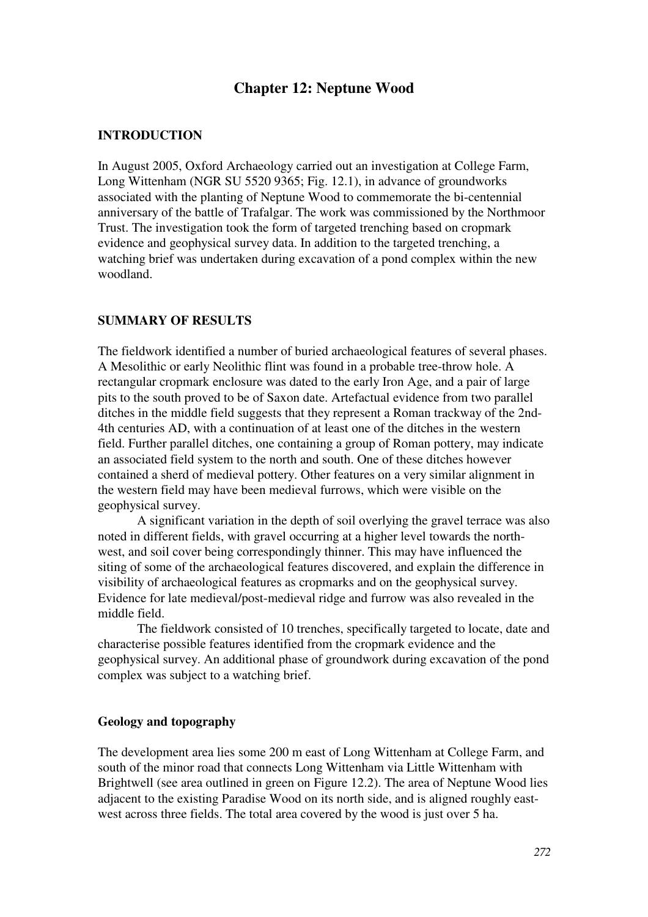# **Chapter 12: Neptune Wood**

### **INTRODUCTION**

In August 2005, Oxford Archaeology carried out an investigation at College Farm, Long Wittenham (NGR SU 5520 9365; Fig. 12.1), in advance of groundworks associated with the planting of Neptune Wood to commemorate the bi-centennial anniversary of the battle of Trafalgar. The work was commissioned by the Northmoor Trust. The investigation took the form of targeted trenching based on cropmark evidence and geophysical survey data. In addition to the targeted trenching, a watching brief was undertaken during excavation of a pond complex within the new woodland.

### **SUMMARY OF RESULTS**

The fieldwork identified a number of buried archaeological features of several phases. A Mesolithic or early Neolithic flint was found in a probable tree-throw hole. A rectangular cropmark enclosure was dated to the early Iron Age, and a pair of large pits to the south proved to be of Saxon date. Artefactual evidence from two parallel ditches in the middle field suggests that they represent a Roman trackway of the 2nd-4th centuries AD, with a continuation of at least one of the ditches in the western field. Further parallel ditches, one containing a group of Roman pottery, may indicate an associated field system to the north and south. One of these ditches however contained a sherd of medieval pottery. Other features on a very similar alignment in the western field may have been medieval furrows, which were visible on the geophysical survey.

A significant variation in the depth of soil overlying the gravel terrace was also noted in different fields, with gravel occurring at a higher level towards the northwest, and soil cover being correspondingly thinner. This may have influenced the siting of some of the archaeological features discovered, and explain the difference in visibility of archaeological features as cropmarks and on the geophysical survey. Evidence for late medieval/post-medieval ridge and furrow was also revealed in the middle field.

The fieldwork consisted of 10 trenches, specifically targeted to locate, date and characterise possible features identified from the cropmark evidence and the geophysical survey. An additional phase of groundwork during excavation of the pond complex was subject to a watching brief.

### **Geology and topography**

The development area lies some 200 m east of Long Wittenham at College Farm, and south of the minor road that connects Long Wittenham via Little Wittenham with Brightwell (see area outlined in green on Figure 12.2). The area of Neptune Wood lies adjacent to the existing Paradise Wood on its north side, and is aligned roughly eastwest across three fields. The total area covered by the wood is just over 5 ha.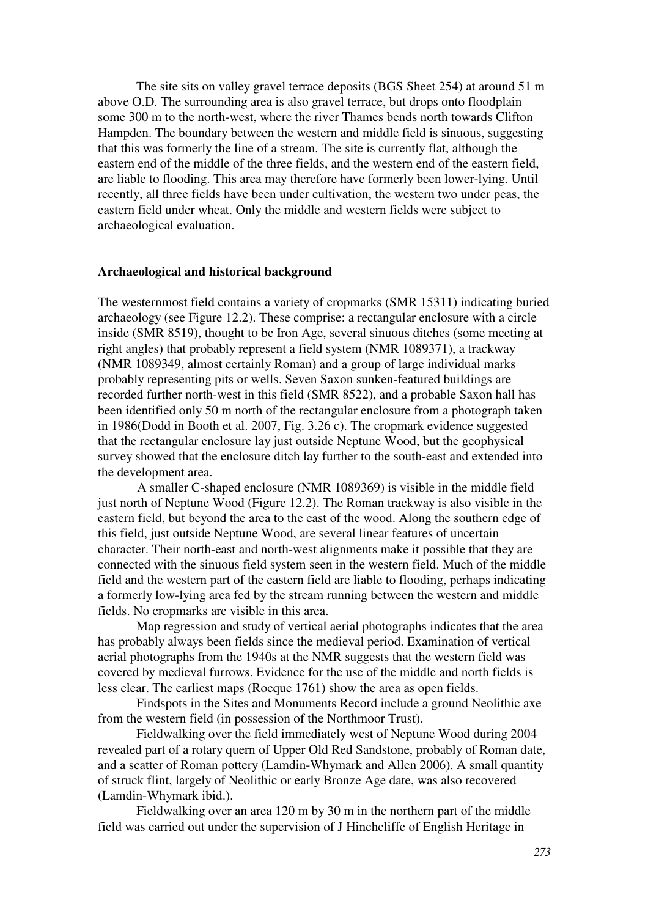The site sits on valley gravel terrace deposits (BGS Sheet 254) at around 51 m above O.D. The surrounding area is also gravel terrace, but drops onto floodplain some 300 m to the north-west, where the river Thames bends north towards Clifton Hampden. The boundary between the western and middle field is sinuous, suggesting that this was formerly the line of a stream. The site is currently flat, although the eastern end of the middle of the three fields, and the western end of the eastern field, are liable to flooding. This area may therefore have formerly been lower-lying. Until recently, all three fields have been under cultivation, the western two under peas, the eastern field under wheat. Only the middle and western fields were subject to archaeological evaluation.

#### **Archaeological and historical background**

The westernmost field contains a variety of cropmarks (SMR 15311) indicating buried archaeology (see Figure 12.2). These comprise: a rectangular enclosure with a circle inside (SMR 8519), thought to be Iron Age, several sinuous ditches (some meeting at right angles) that probably represent a field system (NMR 1089371), a trackway (NMR 1089349, almost certainly Roman) and a group of large individual marks probably representing pits or wells. Seven Saxon sunken-featured buildings are recorded further north-west in this field (SMR 8522), and a probable Saxon hall has been identified only 50 m north of the rectangular enclosure from a photograph taken in 1986(Dodd in Booth et al. 2007, Fig. 3.26 c). The cropmark evidence suggested that the rectangular enclosure lay just outside Neptune Wood, but the geophysical survey showed that the enclosure ditch lay further to the south-east and extended into the development area.

 A smaller C-shaped enclosure (NMR 1089369) is visible in the middle field just north of Neptune Wood (Figure 12.2). The Roman trackway is also visible in the eastern field, but beyond the area to the east of the wood. Along the southern edge of this field, just outside Neptune Wood, are several linear features of uncertain character. Their north-east and north-west alignments make it possible that they are connected with the sinuous field system seen in the western field. Much of the middle field and the western part of the eastern field are liable to flooding, perhaps indicating a formerly low-lying area fed by the stream running between the western and middle fields. No cropmarks are visible in this area.

 Map regression and study of vertical aerial photographs indicates that the area has probably always been fields since the medieval period. Examination of vertical aerial photographs from the 1940s at the NMR suggests that the western field was covered by medieval furrows. Evidence for the use of the middle and north fields is less clear. The earliest maps (Rocque 1761) show the area as open fields.

 Findspots in the Sites and Monuments Record include a ground Neolithic axe from the western field (in possession of the Northmoor Trust).

 Fieldwalking over the field immediately west of Neptune Wood during 2004 revealed part of a rotary quern of Upper Old Red Sandstone, probably of Roman date, and a scatter of Roman pottery (Lamdin-Whymark and Allen 2006). A small quantity of struck flint, largely of Neolithic or early Bronze Age date, was also recovered (Lamdin-Whymark ibid.).

 Fieldwalking over an area 120 m by 30 m in the northern part of the middle field was carried out under the supervision of J Hinchcliffe of English Heritage in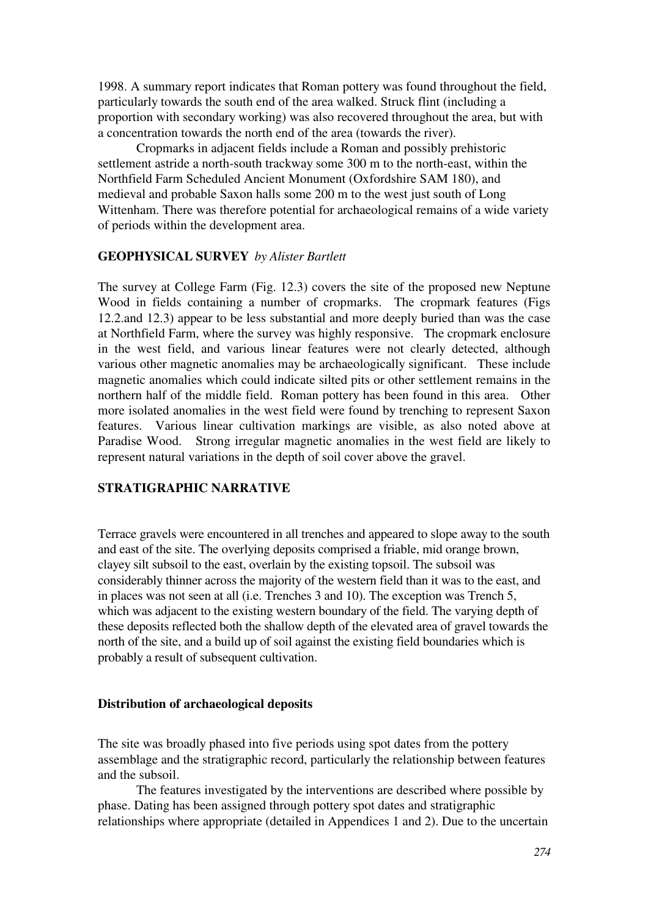1998. A summary report indicates that Roman pottery was found throughout the field, particularly towards the south end of the area walked. Struck flint (including a proportion with secondary working) was also recovered throughout the area, but with a concentration towards the north end of the area (towards the river).

 Cropmarks in adjacent fields include a Roman and possibly prehistoric settlement astride a north-south trackway some 300 m to the north-east, within the Northfield Farm Scheduled Ancient Monument (Oxfordshire SAM 180), and medieval and probable Saxon halls some 200 m to the west just south of Long Wittenham. There was therefore potential for archaeological remains of a wide variety of periods within the development area.

### **GEOPHYSICAL SURVEY** *by Alister Bartlett*

The survey at College Farm (Fig. 12.3) covers the site of the proposed new Neptune Wood in fields containing a number of cropmarks. The cropmark features (Figs 12.2.and 12.3) appear to be less substantial and more deeply buried than was the case at Northfield Farm, where the survey was highly responsive. The cropmark enclosure in the west field, and various linear features were not clearly detected, although various other magnetic anomalies may be archaeologically significant. These include magnetic anomalies which could indicate silted pits or other settlement remains in the northern half of the middle field. Roman pottery has been found in this area. Other more isolated anomalies in the west field were found by trenching to represent Saxon features. Various linear cultivation markings are visible, as also noted above at Paradise Wood. Strong irregular magnetic anomalies in the west field are likely to represent natural variations in the depth of soil cover above the gravel.

# **STRATIGRAPHIC NARRATIVE**

Terrace gravels were encountered in all trenches and appeared to slope away to the south and east of the site. The overlying deposits comprised a friable, mid orange brown, clayey silt subsoil to the east, overlain by the existing topsoil. The subsoil was considerably thinner across the majority of the western field than it was to the east, and in places was not seen at all (i.e. Trenches 3 and 10). The exception was Trench 5, which was adjacent to the existing western boundary of the field. The varying depth of these deposits reflected both the shallow depth of the elevated area of gravel towards the north of the site, and a build up of soil against the existing field boundaries which is probably a result of subsequent cultivation.

### **Distribution of archaeological deposits**

The site was broadly phased into five periods using spot dates from the pottery assemblage and the stratigraphic record, particularly the relationship between features and the subsoil.

 The features investigated by the interventions are described where possible by phase. Dating has been assigned through pottery spot dates and stratigraphic relationships where appropriate (detailed in Appendices 1 and 2). Due to the uncertain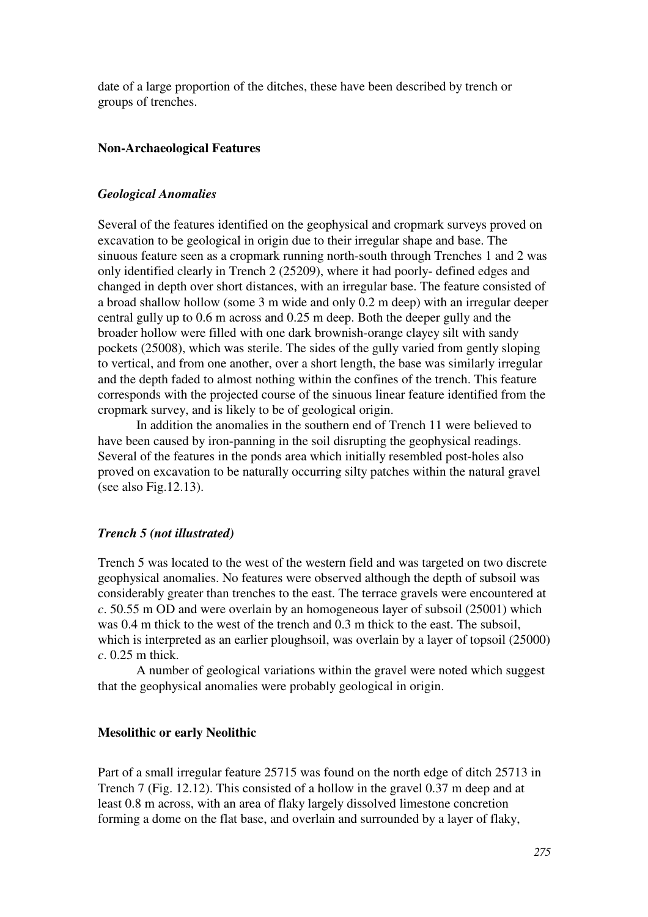date of a large proportion of the ditches, these have been described by trench or groups of trenches.

### **Non-Archaeological Features**

#### *Geological Anomalies*

Several of the features identified on the geophysical and cropmark surveys proved on excavation to be geological in origin due to their irregular shape and base. The sinuous feature seen as a cropmark running north-south through Trenches 1 and 2 was only identified clearly in Trench 2 (25209), where it had poorly- defined edges and changed in depth over short distances, with an irregular base. The feature consisted of a broad shallow hollow (some 3 m wide and only 0.2 m deep) with an irregular deeper central gully up to 0.6 m across and 0.25 m deep. Both the deeper gully and the broader hollow were filled with one dark brownish-orange clayey silt with sandy pockets (25008), which was sterile. The sides of the gully varied from gently sloping to vertical, and from one another, over a short length, the base was similarly irregular and the depth faded to almost nothing within the confines of the trench. This feature corresponds with the projected course of the sinuous linear feature identified from the cropmark survey, and is likely to be of geological origin.

 In addition the anomalies in the southern end of Trench 11 were believed to have been caused by iron-panning in the soil disrupting the geophysical readings. Several of the features in the ponds area which initially resembled post-holes also proved on excavation to be naturally occurring silty patches within the natural gravel (see also Fig.12.13).

### *Trench 5 (not illustrated)*

Trench 5 was located to the west of the western field and was targeted on two discrete geophysical anomalies. No features were observed although the depth of subsoil was considerably greater than trenches to the east. The terrace gravels were encountered at *c*. 50.55 m OD and were overlain by an homogeneous layer of subsoil (25001) which was 0.4 m thick to the west of the trench and 0.3 m thick to the east. The subsoil, which is interpreted as an earlier ploughsoil, was overlain by a layer of topsoil (25000) *c*. 0.25 m thick.

 A number of geological variations within the gravel were noted which suggest that the geophysical anomalies were probably geological in origin.

### **Mesolithic or early Neolithic**

Part of a small irregular feature 25715 was found on the north edge of ditch 25713 in Trench 7 (Fig. 12.12). This consisted of a hollow in the gravel 0.37 m deep and at least 0.8 m across, with an area of flaky largely dissolved limestone concretion forming a dome on the flat base, and overlain and surrounded by a layer of flaky,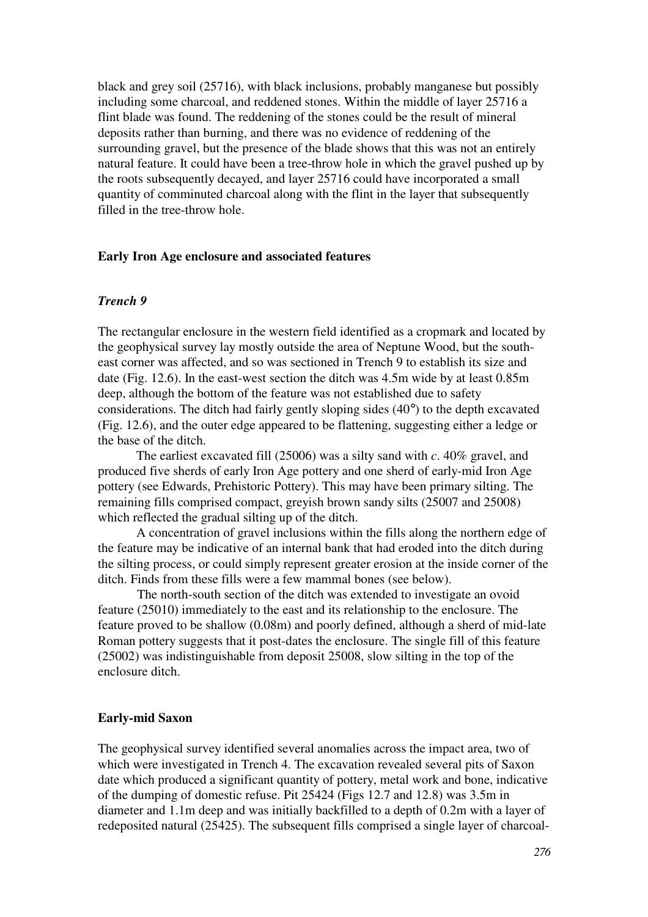black and grey soil (25716), with black inclusions, probably manganese but possibly including some charcoal, and reddened stones. Within the middle of layer 25716 a flint blade was found. The reddening of the stones could be the result of mineral deposits rather than burning, and there was no evidence of reddening of the surrounding gravel, but the presence of the blade shows that this was not an entirely natural feature. It could have been a tree-throw hole in which the gravel pushed up by the roots subsequently decayed, and layer 25716 could have incorporated a small quantity of comminuted charcoal along with the flint in the layer that subsequently filled in the tree-throw hole.

### **Early Iron Age enclosure and associated features**

## *Trench 9*

The rectangular enclosure in the western field identified as a cropmark and located by the geophysical survey lay mostly outside the area of Neptune Wood, but the southeast corner was affected, and so was sectioned in Trench 9 to establish its size and date (Fig. 12.6). In the east-west section the ditch was 4.5m wide by at least 0.85m deep, although the bottom of the feature was not established due to safety considerations. The ditch had fairly gently sloping sides (40°) to the depth excavated (Fig. 12.6), and the outer edge appeared to be flattening, suggesting either a ledge or the base of the ditch.

 The earliest excavated fill (25006) was a silty sand with *c*. 40% gravel, and produced five sherds of early Iron Age pottery and one sherd of early-mid Iron Age pottery (see Edwards, Prehistoric Pottery). This may have been primary silting. The remaining fills comprised compact, greyish brown sandy silts (25007 and 25008) which reflected the gradual silting up of the ditch.

 A concentration of gravel inclusions within the fills along the northern edge of the feature may be indicative of an internal bank that had eroded into the ditch during the silting process, or could simply represent greater erosion at the inside corner of the ditch. Finds from these fills were a few mammal bones (see below).

 The north-south section of the ditch was extended to investigate an ovoid feature (25010) immediately to the east and its relationship to the enclosure. The feature proved to be shallow (0.08m) and poorly defined, although a sherd of mid-late Roman pottery suggests that it post-dates the enclosure. The single fill of this feature (25002) was indistinguishable from deposit 25008, slow silting in the top of the enclosure ditch.

#### **Early-mid Saxon**

The geophysical survey identified several anomalies across the impact area, two of which were investigated in Trench 4. The excavation revealed several pits of Saxon date which produced a significant quantity of pottery, metal work and bone, indicative of the dumping of domestic refuse. Pit 25424 (Figs 12.7 and 12.8) was 3.5m in diameter and 1.1m deep and was initially backfilled to a depth of 0.2m with a layer of redeposited natural (25425). The subsequent fills comprised a single layer of charcoal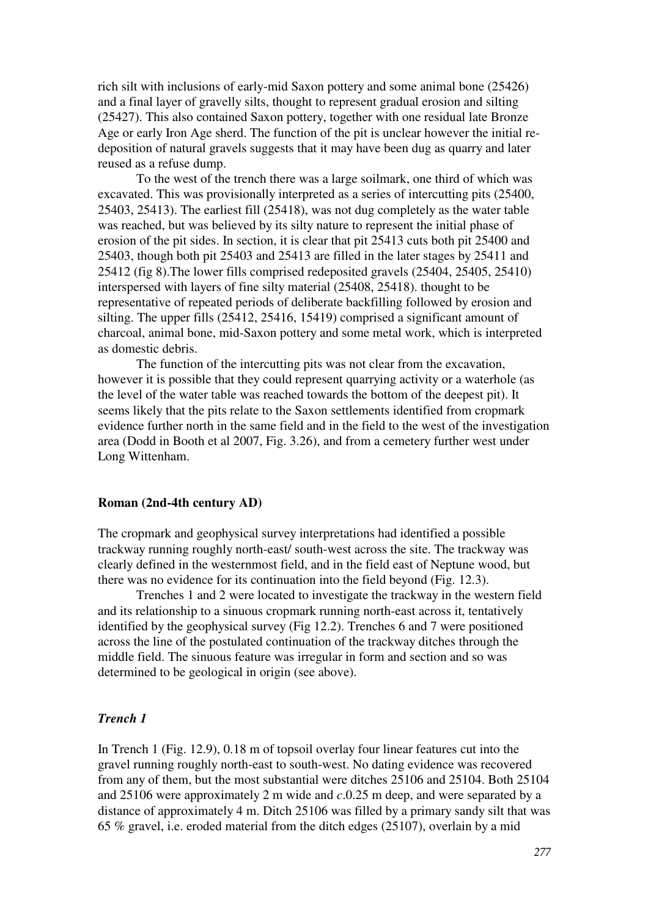rich silt with inclusions of early-mid Saxon pottery and some animal bone (25426) and a final layer of gravelly silts, thought to represent gradual erosion and silting (25427). This also contained Saxon pottery, together with one residual late Bronze Age or early Iron Age sherd. The function of the pit is unclear however the initial redeposition of natural gravels suggests that it may have been dug as quarry and later reused as a refuse dump.

 To the west of the trench there was a large soilmark, one third of which was excavated. This was provisionally interpreted as a series of intercutting pits (25400, 25403, 25413). The earliest fill (25418), was not dug completely as the water table was reached, but was believed by its silty nature to represent the initial phase of erosion of the pit sides. In section, it is clear that pit 25413 cuts both pit 25400 and 25403, though both pit 25403 and 25413 are filled in the later stages by 25411 and 25412 (fig 8).The lower fills comprised redeposited gravels (25404, 25405, 25410) interspersed with layers of fine silty material (25408, 25418). thought to be representative of repeated periods of deliberate backfilling followed by erosion and silting. The upper fills (25412, 25416, 15419) comprised a significant amount of charcoal, animal bone, mid-Saxon pottery and some metal work, which is interpreted as domestic debris.

 The function of the intercutting pits was not clear from the excavation, however it is possible that they could represent quarrying activity or a waterhole (as the level of the water table was reached towards the bottom of the deepest pit). It seems likely that the pits relate to the Saxon settlements identified from cropmark evidence further north in the same field and in the field to the west of the investigation area (Dodd in Booth et al 2007, Fig. 3.26), and from a cemetery further west under Long Wittenham.

### **Roman (2nd-4th century AD)**

The cropmark and geophysical survey interpretations had identified a possible trackway running roughly north-east/ south-west across the site. The trackway was clearly defined in the westernmost field, and in the field east of Neptune wood, but there was no evidence for its continuation into the field beyond (Fig. 12.3).

 Trenches 1 and 2 were located to investigate the trackway in the western field and its relationship to a sinuous cropmark running north-east across it, tentatively identified by the geophysical survey (Fig 12.2). Trenches 6 and 7 were positioned across the line of the postulated continuation of the trackway ditches through the middle field. The sinuous feature was irregular in form and section and so was determined to be geological in origin (see above).

### *Trench 1*

In Trench 1 (Fig. 12.9), 0.18 m of topsoil overlay four linear features cut into the gravel running roughly north-east to south-west. No dating evidence was recovered from any of them, but the most substantial were ditches 25106 and 25104. Both 25104 and 25106 were approximately 2 m wide and *c*.0.25 m deep, and were separated by a distance of approximately 4 m. Ditch 25106 was filled by a primary sandy silt that was 65 % gravel, i.e. eroded material from the ditch edges (25107), overlain by a mid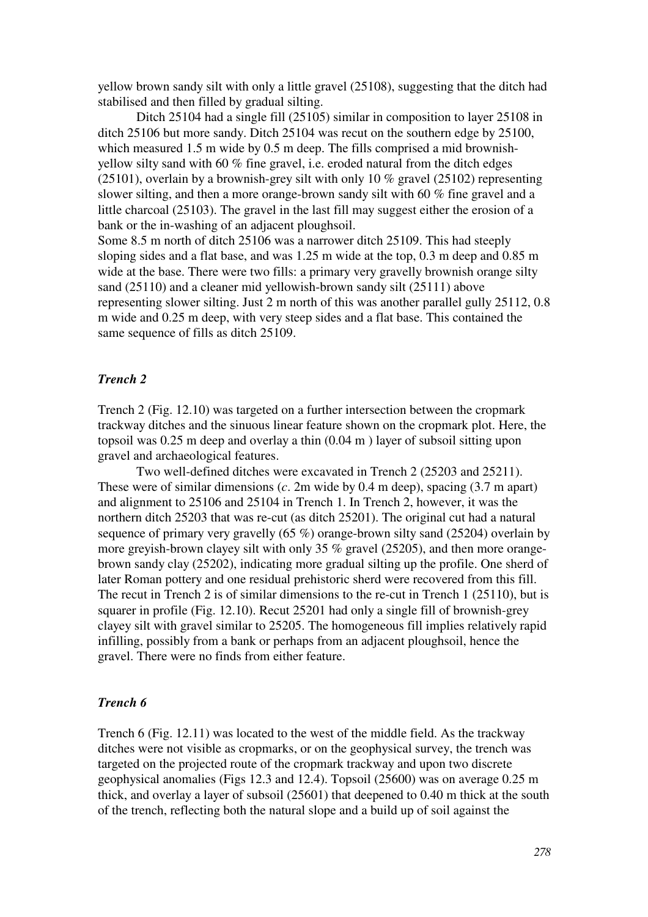yellow brown sandy silt with only a little gravel (25108), suggesting that the ditch had stabilised and then filled by gradual silting.

 Ditch 25104 had a single fill (25105) similar in composition to layer 25108 in ditch 25106 but more sandy. Ditch 25104 was recut on the southern edge by 25100, which measured 1.5 m wide by 0.5 m deep. The fills comprised a mid brownishyellow silty sand with 60 % fine gravel, i.e. eroded natural from the ditch edges (25101), overlain by a brownish-grey silt with only 10 % gravel (25102) representing slower silting, and then a more orange-brown sandy silt with 60 % fine gravel and a little charcoal (25103). The gravel in the last fill may suggest either the erosion of a bank or the in-washing of an adjacent ploughsoil.

Some 8.5 m north of ditch 25106 was a narrower ditch 25109. This had steeply sloping sides and a flat base, and was 1.25 m wide at the top, 0.3 m deep and 0.85 m wide at the base. There were two fills: a primary very gravelly brownish orange silty sand (25110) and a cleaner mid yellowish-brown sandy silt (25111) above representing slower silting. Just 2 m north of this was another parallel gully 25112, 0.8 m wide and 0.25 m deep, with very steep sides and a flat base. This contained the same sequence of fills as ditch 25109.

### *Trench 2*

Trench 2 (Fig. 12.10) was targeted on a further intersection between the cropmark trackway ditches and the sinuous linear feature shown on the cropmark plot. Here, the topsoil was 0.25 m deep and overlay a thin (0.04 m ) layer of subsoil sitting upon gravel and archaeological features.

 Two well-defined ditches were excavated in Trench 2 (25203 and 25211). These were of similar dimensions (*c*. 2m wide by 0.4 m deep), spacing (3.7 m apart) and alignment to 25106 and 25104 in Trench 1. In Trench 2, however, it was the northern ditch 25203 that was re-cut (as ditch 25201). The original cut had a natural sequence of primary very gravelly (65 %) orange-brown silty sand (25204) overlain by more greyish-brown clayey silt with only 35 % gravel (25205), and then more orangebrown sandy clay (25202), indicating more gradual silting up the profile. One sherd of later Roman pottery and one residual prehistoric sherd were recovered from this fill. The recut in Trench 2 is of similar dimensions to the re-cut in Trench 1 (25110), but is squarer in profile (Fig. 12.10). Recut 25201 had only a single fill of brownish-grey clayey silt with gravel similar to 25205. The homogeneous fill implies relatively rapid infilling, possibly from a bank or perhaps from an adjacent ploughsoil, hence the gravel. There were no finds from either feature.

### *Trench 6*

Trench 6 (Fig. 12.11) was located to the west of the middle field. As the trackway ditches were not visible as cropmarks, or on the geophysical survey, the trench was targeted on the projected route of the cropmark trackway and upon two discrete geophysical anomalies (Figs 12.3 and 12.4). Topsoil (25600) was on average 0.25 m thick, and overlay a layer of subsoil (25601) that deepened to 0.40 m thick at the south of the trench, reflecting both the natural slope and a build up of soil against the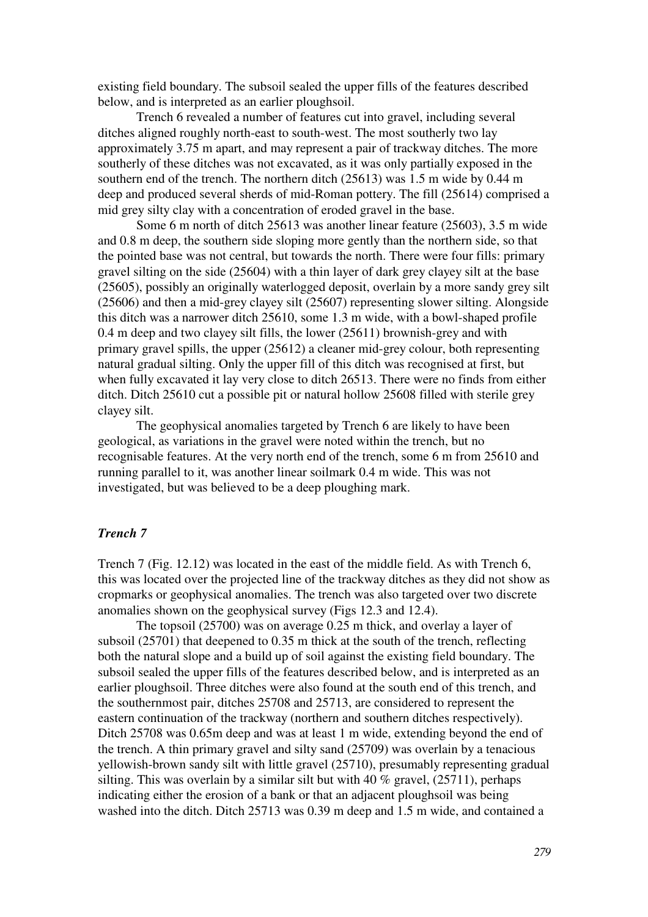existing field boundary. The subsoil sealed the upper fills of the features described below, and is interpreted as an earlier ploughsoil.

 Trench 6 revealed a number of features cut into gravel, including several ditches aligned roughly north-east to south-west. The most southerly two lay approximately 3.75 m apart, and may represent a pair of trackway ditches. The more southerly of these ditches was not excavated, as it was only partially exposed in the southern end of the trench. The northern ditch (25613) was 1.5 m wide by 0.44 m deep and produced several sherds of mid-Roman pottery. The fill (25614) comprised a mid grey silty clay with a concentration of eroded gravel in the base.

 Some 6 m north of ditch 25613 was another linear feature (25603), 3.5 m wide and 0.8 m deep, the southern side sloping more gently than the northern side, so that the pointed base was not central, but towards the north. There were four fills: primary gravel silting on the side (25604) with a thin layer of dark grey clayey silt at the base (25605), possibly an originally waterlogged deposit, overlain by a more sandy grey silt (25606) and then a mid-grey clayey silt (25607) representing slower silting. Alongside this ditch was a narrower ditch 25610, some 1.3 m wide, with a bowl-shaped profile 0.4 m deep and two clayey silt fills, the lower (25611) brownish-grey and with primary gravel spills, the upper (25612) a cleaner mid-grey colour, both representing natural gradual silting. Only the upper fill of this ditch was recognised at first, but when fully excavated it lay very close to ditch 26513. There were no finds from either ditch. Ditch 25610 cut a possible pit or natural hollow 25608 filled with sterile grey clayey silt.

 The geophysical anomalies targeted by Trench 6 are likely to have been geological, as variations in the gravel were noted within the trench, but no recognisable features. At the very north end of the trench, some 6 m from 25610 and running parallel to it, was another linear soilmark 0.4 m wide. This was not investigated, but was believed to be a deep ploughing mark.

## *Trench 7*

Trench 7 (Fig. 12.12) was located in the east of the middle field. As with Trench 6, this was located over the projected line of the trackway ditches as they did not show as cropmarks or geophysical anomalies. The trench was also targeted over two discrete anomalies shown on the geophysical survey (Figs 12.3 and 12.4).

 The topsoil (25700) was on average 0.25 m thick, and overlay a layer of subsoil (25701) that deepened to 0.35 m thick at the south of the trench, reflecting both the natural slope and a build up of soil against the existing field boundary. The subsoil sealed the upper fills of the features described below, and is interpreted as an earlier ploughsoil. Three ditches were also found at the south end of this trench, and the southernmost pair, ditches 25708 and 25713, are considered to represent the eastern continuation of the trackway (northern and southern ditches respectively). Ditch 25708 was 0.65m deep and was at least 1 m wide, extending beyond the end of the trench. A thin primary gravel and silty sand (25709) was overlain by a tenacious yellowish-brown sandy silt with little gravel (25710), presumably representing gradual silting. This was overlain by a similar silt but with 40 % gravel,  $(25711)$ , perhaps indicating either the erosion of a bank or that an adjacent ploughsoil was being washed into the ditch. Ditch 25713 was 0.39 m deep and 1.5 m wide, and contained a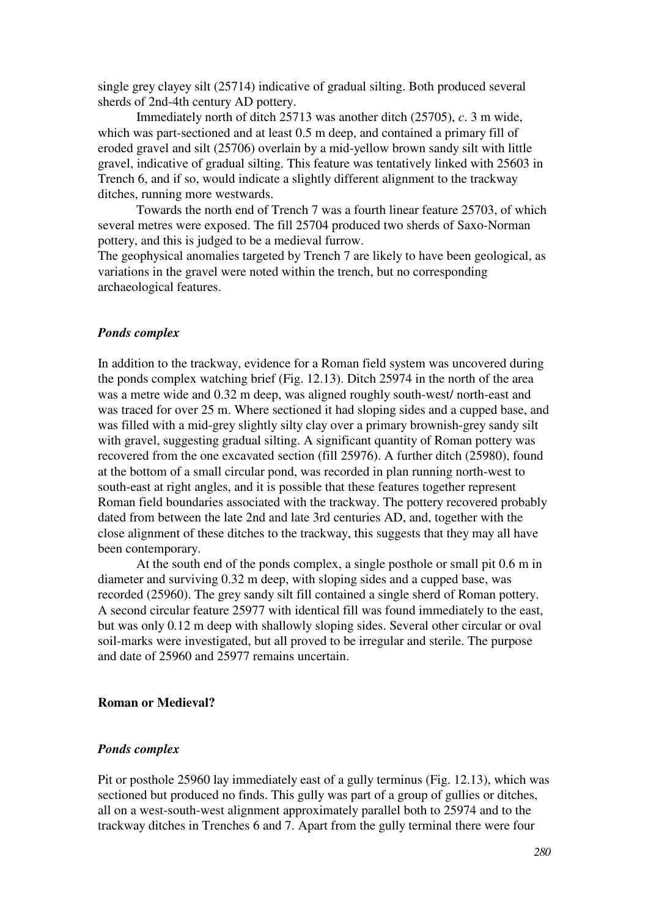single grey clayey silt (25714) indicative of gradual silting. Both produced several sherds of 2nd-4th century AD pottery.

 Immediately north of ditch 25713 was another ditch (25705), *c*. 3 m wide, which was part-sectioned and at least 0.5 m deep, and contained a primary fill of eroded gravel and silt (25706) overlain by a mid-yellow brown sandy silt with little gravel, indicative of gradual silting. This feature was tentatively linked with 25603 in Trench 6, and if so, would indicate a slightly different alignment to the trackway ditches, running more westwards.

 Towards the north end of Trench 7 was a fourth linear feature 25703, of which several metres were exposed. The fill 25704 produced two sherds of Saxo-Norman pottery, and this is judged to be a medieval furrow.

The geophysical anomalies targeted by Trench 7 are likely to have been geological, as variations in the gravel were noted within the trench, but no corresponding archaeological features.

#### *Ponds complex*

In addition to the trackway, evidence for a Roman field system was uncovered during the ponds complex watching brief (Fig. 12.13). Ditch 25974 in the north of the area was a metre wide and 0.32 m deep, was aligned roughly south-west/ north-east and was traced for over 25 m. Where sectioned it had sloping sides and a cupped base, and was filled with a mid-grey slightly silty clay over a primary brownish-grey sandy silt with gravel, suggesting gradual silting. A significant quantity of Roman pottery was recovered from the one excavated section (fill 25976). A further ditch (25980), found at the bottom of a small circular pond, was recorded in plan running north-west to south-east at right angles, and it is possible that these features together represent Roman field boundaries associated with the trackway. The pottery recovered probably dated from between the late 2nd and late 3rd centuries AD, and, together with the close alignment of these ditches to the trackway, this suggests that they may all have been contemporary.

 At the south end of the ponds complex, a single posthole or small pit 0.6 m in diameter and surviving 0.32 m deep, with sloping sides and a cupped base, was recorded (25960). The grey sandy silt fill contained a single sherd of Roman pottery. A second circular feature 25977 with identical fill was found immediately to the east, but was only 0.12 m deep with shallowly sloping sides. Several other circular or oval soil-marks were investigated, but all proved to be irregular and sterile. The purpose and date of 25960 and 25977 remains uncertain.

#### **Roman or Medieval?**

### *Ponds complex*

Pit or posthole 25960 lay immediately east of a gully terminus (Fig. 12.13), which was sectioned but produced no finds. This gully was part of a group of gullies or ditches, all on a west-south-west alignment approximately parallel both to 25974 and to the trackway ditches in Trenches 6 and 7. Apart from the gully terminal there were four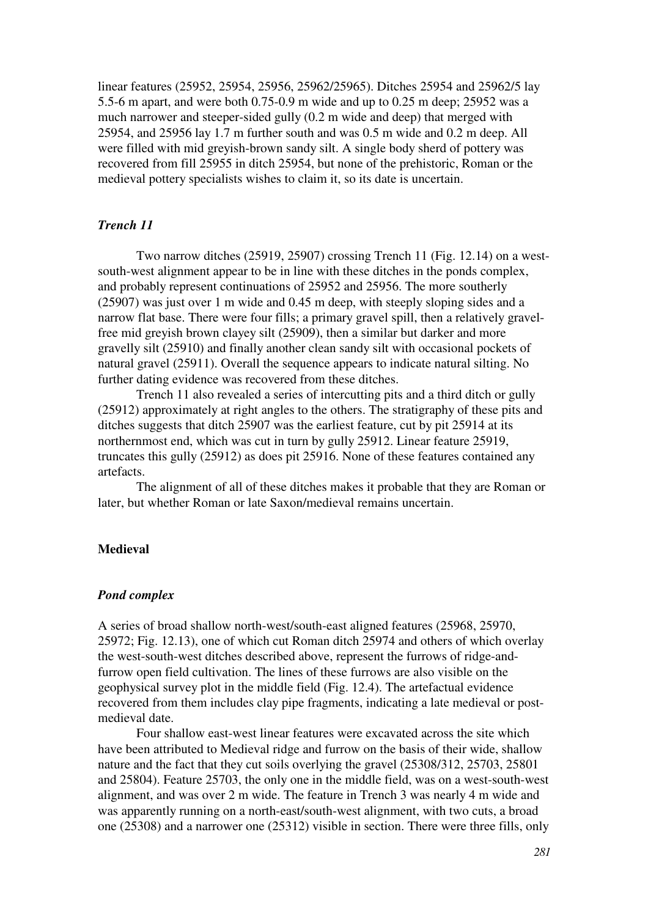linear features (25952, 25954, 25956, 25962/25965). Ditches 25954 and 25962/5 lay 5.5-6 m apart, and were both 0.75-0.9 m wide and up to 0.25 m deep; 25952 was a much narrower and steeper-sided gully (0.2 m wide and deep) that merged with 25954, and 25956 lay 1.7 m further south and was 0.5 m wide and 0.2 m deep. All were filled with mid greyish-brown sandy silt. A single body sherd of pottery was recovered from fill 25955 in ditch 25954, but none of the prehistoric, Roman or the medieval pottery specialists wishes to claim it, so its date is uncertain.

### *Trench 11*

 Two narrow ditches (25919, 25907) crossing Trench 11 (Fig. 12.14) on a westsouth-west alignment appear to be in line with these ditches in the ponds complex, and probably represent continuations of 25952 and 25956. The more southerly (25907) was just over 1 m wide and 0.45 m deep, with steeply sloping sides and a narrow flat base. There were four fills; a primary gravel spill, then a relatively gravelfree mid greyish brown clayey silt (25909), then a similar but darker and more gravelly silt (25910) and finally another clean sandy silt with occasional pockets of natural gravel (25911). Overall the sequence appears to indicate natural silting. No further dating evidence was recovered from these ditches.

 Trench 11 also revealed a series of intercutting pits and a third ditch or gully (25912) approximately at right angles to the others. The stratigraphy of these pits and ditches suggests that ditch 25907 was the earliest feature, cut by pit 25914 at its northernmost end, which was cut in turn by gully 25912. Linear feature 25919, truncates this gully (25912) as does pit 25916. None of these features contained any artefacts.

 The alignment of all of these ditches makes it probable that they are Roman or later, but whether Roman or late Saxon/medieval remains uncertain.

### **Medieval**

#### *Pond complex*

A series of broad shallow north-west/south-east aligned features (25968, 25970, 25972; Fig. 12.13), one of which cut Roman ditch 25974 and others of which overlay the west-south-west ditches described above, represent the furrows of ridge-andfurrow open field cultivation. The lines of these furrows are also visible on the geophysical survey plot in the middle field (Fig. 12.4). The artefactual evidence recovered from them includes clay pipe fragments, indicating a late medieval or postmedieval date.

 Four shallow east-west linear features were excavated across the site which have been attributed to Medieval ridge and furrow on the basis of their wide, shallow nature and the fact that they cut soils overlying the gravel (25308/312, 25703, 25801 and 25804). Feature 25703, the only one in the middle field, was on a west-south-west alignment, and was over 2 m wide. The feature in Trench 3 was nearly 4 m wide and was apparently running on a north-east/south-west alignment, with two cuts, a broad one (25308) and a narrower one (25312) visible in section. There were three fills, only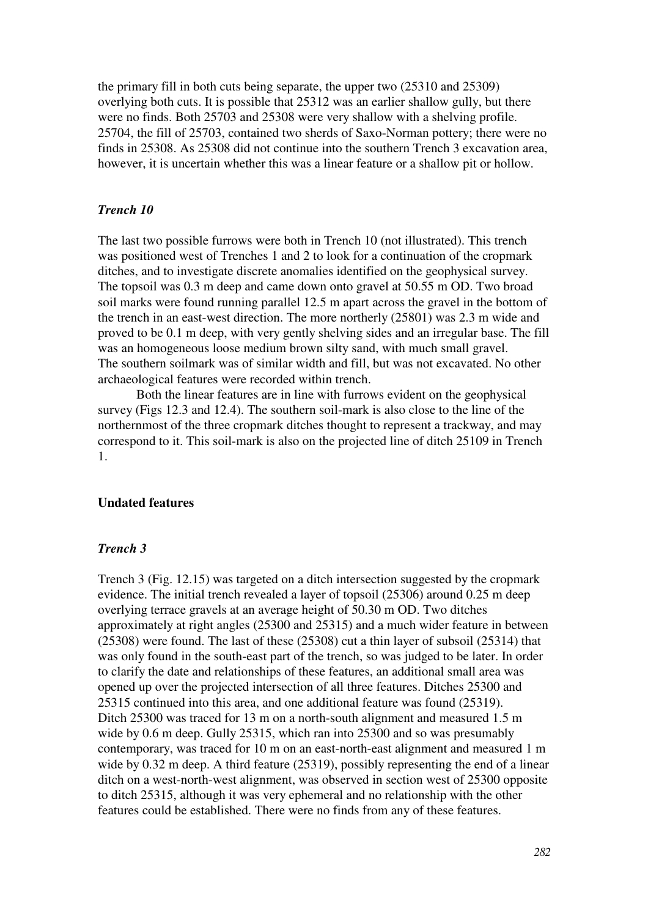the primary fill in both cuts being separate, the upper two (25310 and 25309) overlying both cuts. It is possible that 25312 was an earlier shallow gully, but there were no finds. Both 25703 and 25308 were very shallow with a shelving profile. 25704, the fill of 25703, contained two sherds of Saxo-Norman pottery; there were no finds in 25308. As 25308 did not continue into the southern Trench 3 excavation area, however, it is uncertain whether this was a linear feature or a shallow pit or hollow.

### *Trench 10*

The last two possible furrows were both in Trench 10 (not illustrated). This trench was positioned west of Trenches 1 and 2 to look for a continuation of the cropmark ditches, and to investigate discrete anomalies identified on the geophysical survey. The topsoil was 0.3 m deep and came down onto gravel at 50.55 m OD. Two broad soil marks were found running parallel 12.5 m apart across the gravel in the bottom of the trench in an east-west direction. The more northerly (25801) was 2.3 m wide and proved to be 0.1 m deep, with very gently shelving sides and an irregular base. The fill was an homogeneous loose medium brown silty sand, with much small gravel. The southern soilmark was of similar width and fill, but was not excavated. No other archaeological features were recorded within trench.

 Both the linear features are in line with furrows evident on the geophysical survey (Figs 12.3 and 12.4). The southern soil-mark is also close to the line of the northernmost of the three cropmark ditches thought to represent a trackway, and may correspond to it. This soil-mark is also on the projected line of ditch 25109 in Trench 1.

#### **Undated features**

#### *Trench 3*

Trench 3 (Fig. 12.15) was targeted on a ditch intersection suggested by the cropmark evidence. The initial trench revealed a layer of topsoil (25306) around 0.25 m deep overlying terrace gravels at an average height of 50.30 m OD. Two ditches approximately at right angles (25300 and 25315) and a much wider feature in between (25308) were found. The last of these (25308) cut a thin layer of subsoil (25314) that was only found in the south-east part of the trench, so was judged to be later. In order to clarify the date and relationships of these features, an additional small area was opened up over the projected intersection of all three features. Ditches 25300 and 25315 continued into this area, and one additional feature was found (25319). Ditch 25300 was traced for 13 m on a north-south alignment and measured 1.5 m wide by 0.6 m deep. Gully 25315, which ran into 25300 and so was presumably contemporary, was traced for 10 m on an east-north-east alignment and measured 1 m wide by 0.32 m deep. A third feature (25319), possibly representing the end of a linear ditch on a west-north-west alignment, was observed in section west of 25300 opposite to ditch 25315, although it was very ephemeral and no relationship with the other features could be established. There were no finds from any of these features.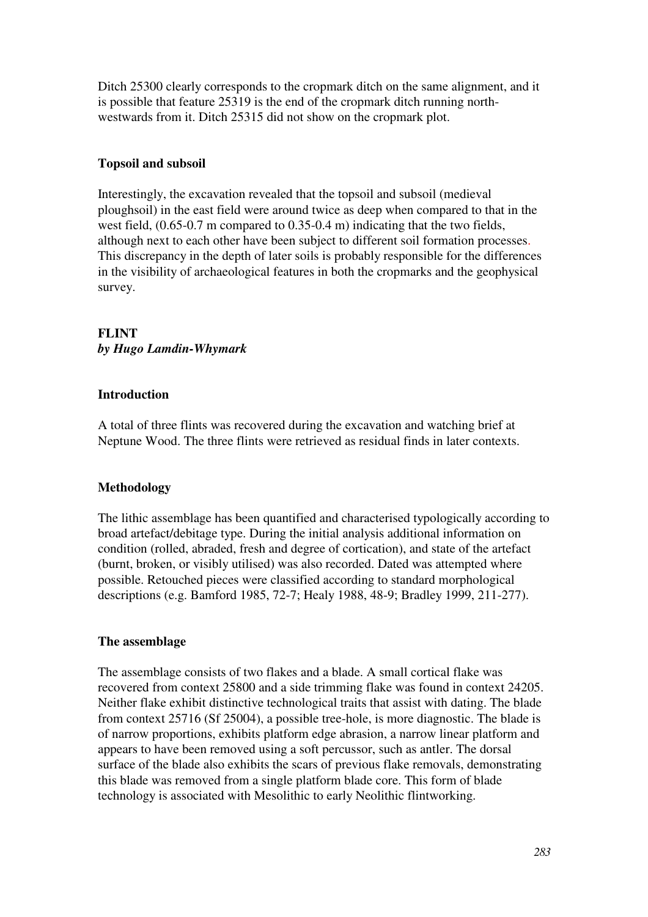Ditch 25300 clearly corresponds to the cropmark ditch on the same alignment, and it is possible that feature 25319 is the end of the cropmark ditch running northwestwards from it. Ditch 25315 did not show on the cropmark plot.

## **Topsoil and subsoil**

Interestingly, the excavation revealed that the topsoil and subsoil (medieval ploughsoil) in the east field were around twice as deep when compared to that in the west field, (0.65-0.7 m compared to 0.35-0.4 m) indicating that the two fields, although next to each other have been subject to different soil formation processes. This discrepancy in the depth of later soils is probably responsible for the differences in the visibility of archaeological features in both the cropmarks and the geophysical survey.

### **FLINT**  *by Hugo Lamdin-Whymark*

### **Introduction**

A total of three flints was recovered during the excavation and watching brief at Neptune Wood. The three flints were retrieved as residual finds in later contexts.

### **Methodology**

The lithic assemblage has been quantified and characterised typologically according to broad artefact/debitage type. During the initial analysis additional information on condition (rolled, abraded, fresh and degree of cortication), and state of the artefact (burnt, broken, or visibly utilised) was also recorded. Dated was attempted where possible. Retouched pieces were classified according to standard morphological descriptions (e.g. Bamford 1985, 72-7; Healy 1988, 48-9; Bradley 1999, 211-277).

### **The assemblage**

The assemblage consists of two flakes and a blade. A small cortical flake was recovered from context 25800 and a side trimming flake was found in context 24205. Neither flake exhibit distinctive technological traits that assist with dating. The blade from context 25716 (Sf 25004), a possible tree-hole, is more diagnostic. The blade is of narrow proportions, exhibits platform edge abrasion, a narrow linear platform and appears to have been removed using a soft percussor, such as antler. The dorsal surface of the blade also exhibits the scars of previous flake removals, demonstrating this blade was removed from a single platform blade core. This form of blade technology is associated with Mesolithic to early Neolithic flintworking.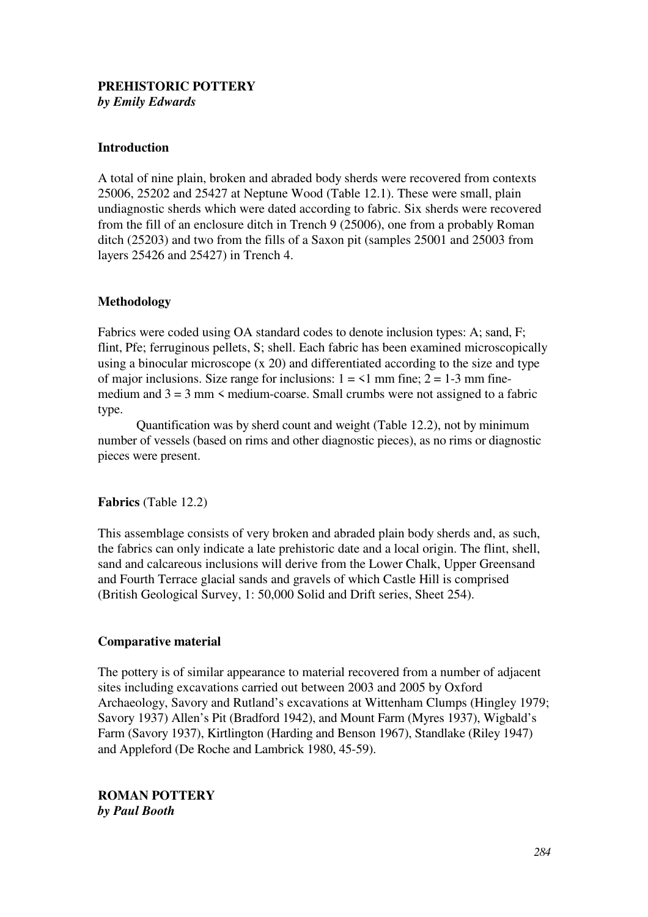## **PREHISTORIC POTTERY**  *by Emily Edwards*

## **Introduction**

A total of nine plain, broken and abraded body sherds were recovered from contexts 25006, 25202 and 25427 at Neptune Wood (Table 12.1). These were small, plain undiagnostic sherds which were dated according to fabric. Six sherds were recovered from the fill of an enclosure ditch in Trench 9 (25006), one from a probably Roman ditch (25203) and two from the fills of a Saxon pit (samples 25001 and 25003 from layers 25426 and 25427) in Trench 4.

### **Methodology**

Fabrics were coded using OA standard codes to denote inclusion types: A; sand, F; flint, Pfe; ferruginous pellets, S; shell. Each fabric has been examined microscopically using a binocular microscope (x 20) and differentiated according to the size and type of major inclusions. Size range for inclusions:  $1 = 1$  mm fine;  $2 = 1$ -3 mm finemedium and  $3 = 3$  mm  $\leq$  medium-coarse. Small crumbs were not assigned to a fabric type.

 Quantification was by sherd count and weight (Table 12.2), not by minimum number of vessels (based on rims and other diagnostic pieces), as no rims or diagnostic pieces were present.

# **Fabrics** (Table 12.2)

This assemblage consists of very broken and abraded plain body sherds and, as such, the fabrics can only indicate a late prehistoric date and a local origin. The flint, shell, sand and calcareous inclusions will derive from the Lower Chalk, Upper Greensand and Fourth Terrace glacial sands and gravels of which Castle Hill is comprised (British Geological Survey, 1: 50,000 Solid and Drift series, Sheet 254).

### **Comparative material**

The pottery is of similar appearance to material recovered from a number of adjacent sites including excavations carried out between 2003 and 2005 by Oxford Archaeology, Savory and Rutland's excavations at Wittenham Clumps (Hingley 1979; Savory 1937) Allen's Pit (Bradford 1942), and Mount Farm (Myres 1937), Wigbald's Farm (Savory 1937), Kirtlington (Harding and Benson 1967), Standlake (Riley 1947) and Appleford (De Roche and Lambrick 1980, 45-59).

**ROMAN POTTERY**  *by Paul Booth*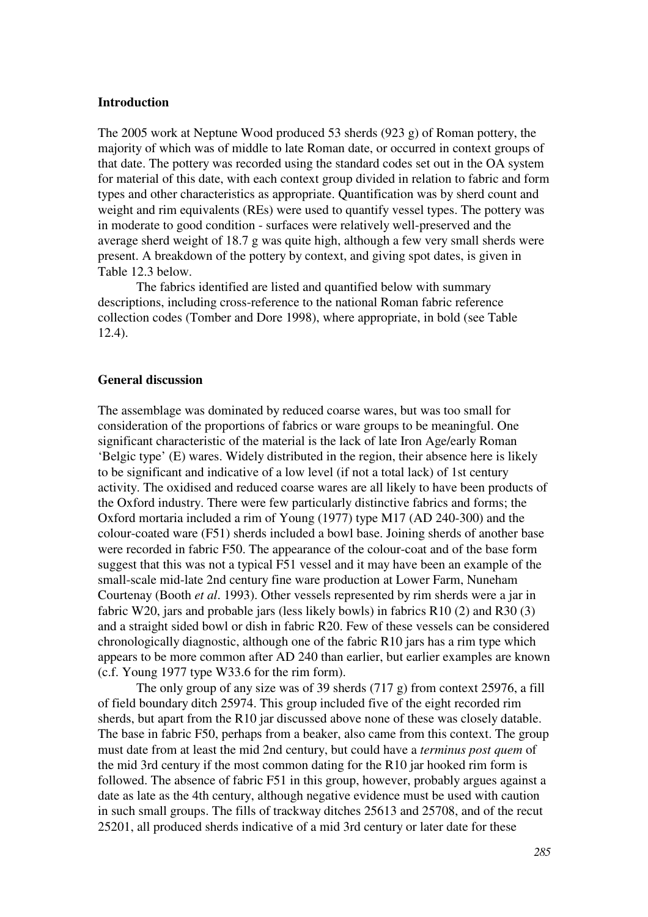### **Introduction**

The 2005 work at Neptune Wood produced 53 sherds (923 g) of Roman pottery, the majority of which was of middle to late Roman date, or occurred in context groups of that date. The pottery was recorded using the standard codes set out in the OA system for material of this date, with each context group divided in relation to fabric and form types and other characteristics as appropriate. Quantification was by sherd count and weight and rim equivalents (REs) were used to quantify vessel types. The pottery was in moderate to good condition - surfaces were relatively well-preserved and the average sherd weight of 18.7 g was quite high, although a few very small sherds were present. A breakdown of the pottery by context, and giving spot dates, is given in Table 12.3 below.

 The fabrics identified are listed and quantified below with summary descriptions, including cross-reference to the national Roman fabric reference collection codes (Tomber and Dore 1998), where appropriate, in bold (see Table 12.4).

#### **General discussion**

The assemblage was dominated by reduced coarse wares, but was too small for consideration of the proportions of fabrics or ware groups to be meaningful. One significant characteristic of the material is the lack of late Iron Age/early Roman 'Belgic type' (E) wares. Widely distributed in the region, their absence here is likely to be significant and indicative of a low level (if not a total lack) of 1st century activity. The oxidised and reduced coarse wares are all likely to have been products of the Oxford industry. There were few particularly distinctive fabrics and forms; the Oxford mortaria included a rim of Young (1977) type M17 (AD 240-300) and the colour-coated ware (F51) sherds included a bowl base. Joining sherds of another base were recorded in fabric F50. The appearance of the colour-coat and of the base form suggest that this was not a typical F51 vessel and it may have been an example of the small-scale mid-late 2nd century fine ware production at Lower Farm, Nuneham Courtenay (Booth *et al*. 1993). Other vessels represented by rim sherds were a jar in fabric W20, jars and probable jars (less likely bowls) in fabrics R10 (2) and R30 (3) and a straight sided bowl or dish in fabric R20. Few of these vessels can be considered chronologically diagnostic, although one of the fabric R10 jars has a rim type which appears to be more common after AD 240 than earlier, but earlier examples are known (c.f. Young 1977 type W33.6 for the rim form).

 The only group of any size was of 39 sherds (717 g) from context 25976, a fill of field boundary ditch 25974. This group included five of the eight recorded rim sherds, but apart from the R10 jar discussed above none of these was closely datable. The base in fabric F50, perhaps from a beaker, also came from this context. The group must date from at least the mid 2nd century, but could have a *terminus post quem* of the mid 3rd century if the most common dating for the R10 jar hooked rim form is followed. The absence of fabric F51 in this group, however, probably argues against a date as late as the 4th century, although negative evidence must be used with caution in such small groups. The fills of trackway ditches 25613 and 25708, and of the recut 25201, all produced sherds indicative of a mid 3rd century or later date for these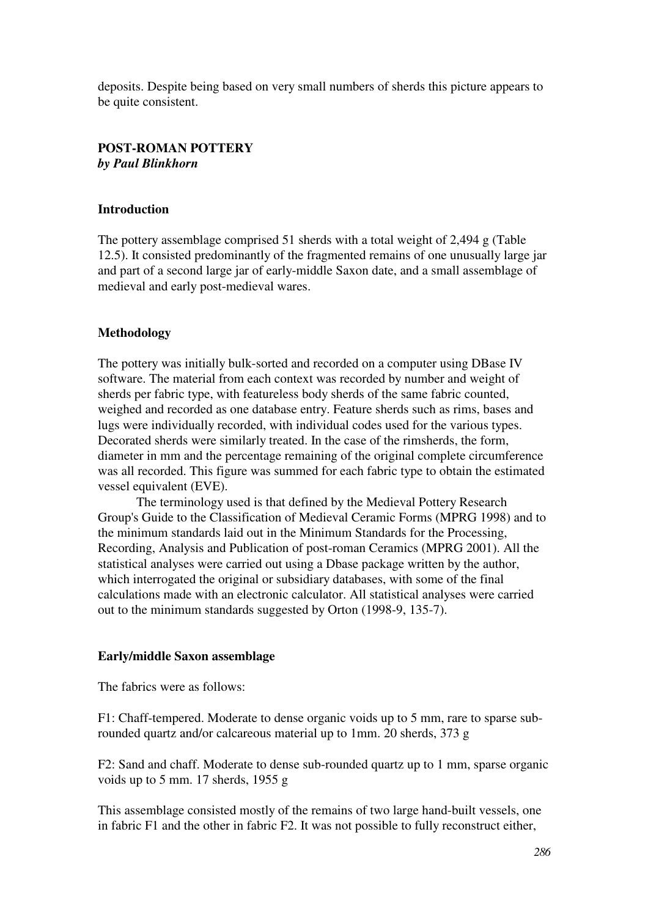deposits. Despite being based on very small numbers of sherds this picture appears to be quite consistent.

## **POST-ROMAN POTTERY**  *by Paul Blinkhorn*

### **Introduction**

The pottery assemblage comprised 51 sherds with a total weight of 2,494 g (Table 12.5). It consisted predominantly of the fragmented remains of one unusually large jar and part of a second large jar of early-middle Saxon date, and a small assemblage of medieval and early post-medieval wares.

### **Methodology**

The pottery was initially bulk-sorted and recorded on a computer using DBase IV software. The material from each context was recorded by number and weight of sherds per fabric type, with featureless body sherds of the same fabric counted, weighed and recorded as one database entry. Feature sherds such as rims, bases and lugs were individually recorded, with individual codes used for the various types. Decorated sherds were similarly treated. In the case of the rimsherds, the form, diameter in mm and the percentage remaining of the original complete circumference was all recorded. This figure was summed for each fabric type to obtain the estimated vessel equivalent (EVE).

 The terminology used is that defined by the Medieval Pottery Research Group's Guide to the Classification of Medieval Ceramic Forms (MPRG 1998) and to the minimum standards laid out in the Minimum Standards for the Processing, Recording, Analysis and Publication of post-roman Ceramics (MPRG 2001). All the statistical analyses were carried out using a Dbase package written by the author, which interrogated the original or subsidiary databases, with some of the final calculations made with an electronic calculator. All statistical analyses were carried out to the minimum standards suggested by Orton (1998-9, 135-7).

### **Early/middle Saxon assemblage**

The fabrics were as follows:

F1: Chaff-tempered. Moderate to dense organic voids up to 5 mm, rare to sparse subrounded quartz and/or calcareous material up to 1mm. 20 sherds, 373 g

F2: Sand and chaff. Moderate to dense sub-rounded quartz up to 1 mm, sparse organic voids up to 5 mm. 17 sherds, 1955 g

This assemblage consisted mostly of the remains of two large hand-built vessels, one in fabric F1 and the other in fabric F2. It was not possible to fully reconstruct either,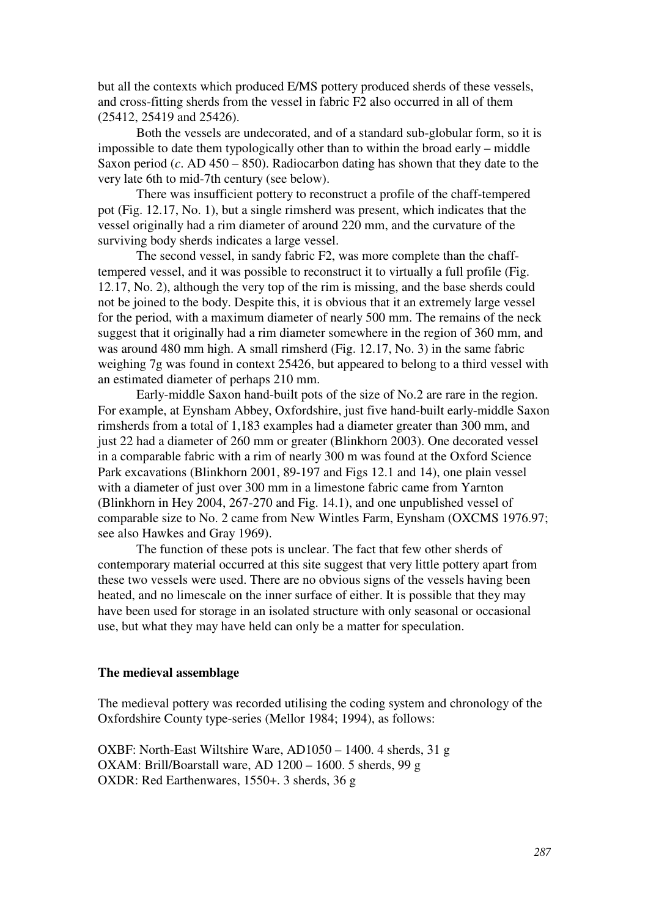but all the contexts which produced E/MS pottery produced sherds of these vessels, and cross-fitting sherds from the vessel in fabric F2 also occurred in all of them (25412, 25419 and 25426).

 Both the vessels are undecorated, and of a standard sub-globular form, so it is impossible to date them typologically other than to within the broad early – middle Saxon period (*c*. AD 450 – 850). Radiocarbon dating has shown that they date to the very late 6th to mid-7th century (see below).

 There was insufficient pottery to reconstruct a profile of the chaff-tempered pot (Fig. 12.17, No. 1), but a single rimsherd was present, which indicates that the vessel originally had a rim diameter of around 220 mm, and the curvature of the surviving body sherds indicates a large vessel.

 The second vessel, in sandy fabric F2, was more complete than the chafftempered vessel, and it was possible to reconstruct it to virtually a full profile (Fig. 12.17, No. 2), although the very top of the rim is missing, and the base sherds could not be joined to the body. Despite this, it is obvious that it an extremely large vessel for the period, with a maximum diameter of nearly 500 mm. The remains of the neck suggest that it originally had a rim diameter somewhere in the region of 360 mm, and was around 480 mm high. A small rimsherd (Fig. 12.17, No. 3) in the same fabric weighing 7g was found in context 25426, but appeared to belong to a third vessel with an estimated diameter of perhaps 210 mm.

 Early-middle Saxon hand-built pots of the size of No.2 are rare in the region. For example, at Eynsham Abbey, Oxfordshire, just five hand-built early-middle Saxon rimsherds from a total of 1,183 examples had a diameter greater than 300 mm, and just 22 had a diameter of 260 mm or greater (Blinkhorn 2003). One decorated vessel in a comparable fabric with a rim of nearly 300 m was found at the Oxford Science Park excavations (Blinkhorn 2001, 89-197 and Figs 12.1 and 14), one plain vessel with a diameter of just over 300 mm in a limestone fabric came from Yarnton (Blinkhorn in Hey 2004, 267-270 and Fig. 14.1), and one unpublished vessel of comparable size to No. 2 came from New Wintles Farm, Eynsham (OXCMS 1976.97; see also Hawkes and Gray 1969).

 The function of these pots is unclear. The fact that few other sherds of contemporary material occurred at this site suggest that very little pottery apart from these two vessels were used. There are no obvious signs of the vessels having been heated, and no limescale on the inner surface of either. It is possible that they may have been used for storage in an isolated structure with only seasonal or occasional use, but what they may have held can only be a matter for speculation.

#### **The medieval assemblage**

The medieval pottery was recorded utilising the coding system and chronology of the Oxfordshire County type-series (Mellor 1984; 1994), as follows:

OXBF: North-East Wiltshire Ware, AD1050 – 1400. 4 sherds, 31 g OXAM: Brill/Boarstall ware, AD 1200 – 1600. 5 sherds, 99 g OXDR: Red Earthenwares, 1550+. 3 sherds, 36 g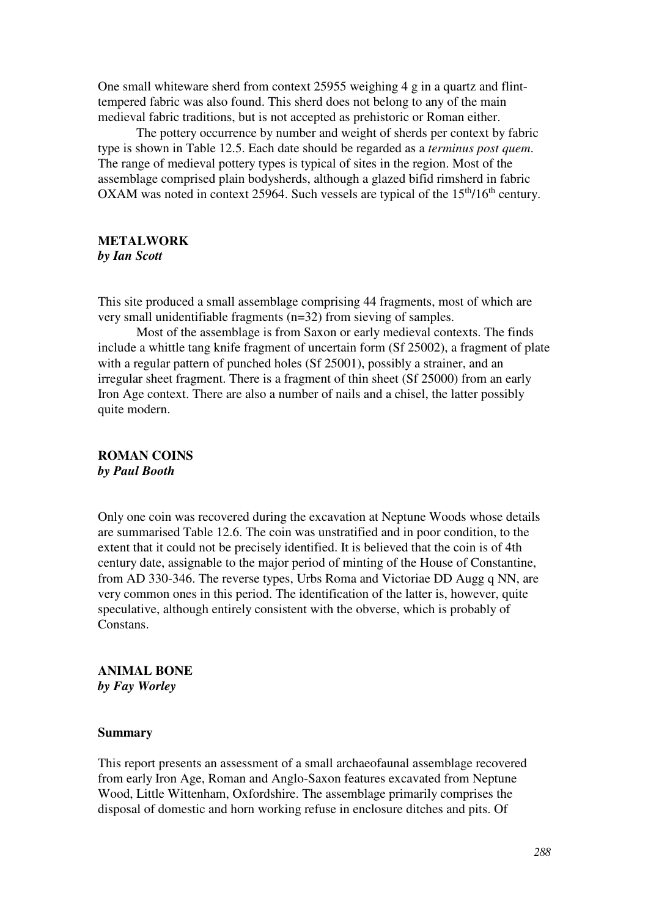One small whiteware sherd from context 25955 weighing 4 g in a quartz and flinttempered fabric was also found. This sherd does not belong to any of the main medieval fabric traditions, but is not accepted as prehistoric or Roman either.

 The pottery occurrence by number and weight of sherds per context by fabric type is shown in Table 12.5. Each date should be regarded as a *terminus post quem*. The range of medieval pottery types is typical of sites in the region. Most of the assemblage comprised plain bodysherds, although a glazed bifid rimsherd in fabric OXAM was noted in context 25964. Such vessels are typical of the  $15<sup>th</sup>/16<sup>th</sup>$  century.

### **METALWORK**  *by Ian Scott*

This site produced a small assemblage comprising 44 fragments, most of which are very small unidentifiable fragments (n=32) from sieving of samples.

 Most of the assemblage is from Saxon or early medieval contexts. The finds include a whittle tang knife fragment of uncertain form (Sf 25002), a fragment of plate with a regular pattern of punched holes (Sf 25001), possibly a strainer, and an irregular sheet fragment. There is a fragment of thin sheet (Sf 25000) from an early Iron Age context. There are also a number of nails and a chisel, the latter possibly quite modern.

**ROMAN COINS**  *by Paul Booth* 

Only one coin was recovered during the excavation at Neptune Woods whose details are summarised Table 12.6. The coin was unstratified and in poor condition, to the extent that it could not be precisely identified. It is believed that the coin is of 4th century date, assignable to the major period of minting of the House of Constantine, from AD 330-346. The reverse types, Urbs Roma and Victoriae DD Augg q NN, are very common ones in this period. The identification of the latter is, however, quite speculative, although entirely consistent with the obverse, which is probably of Constans.

# **ANIMAL BONE**  *by Fay Worley*

### **Summary**

This report presents an assessment of a small archaeofaunal assemblage recovered from early Iron Age, Roman and Anglo-Saxon features excavated from Neptune Wood, Little Wittenham, Oxfordshire. The assemblage primarily comprises the disposal of domestic and horn working refuse in enclosure ditches and pits. Of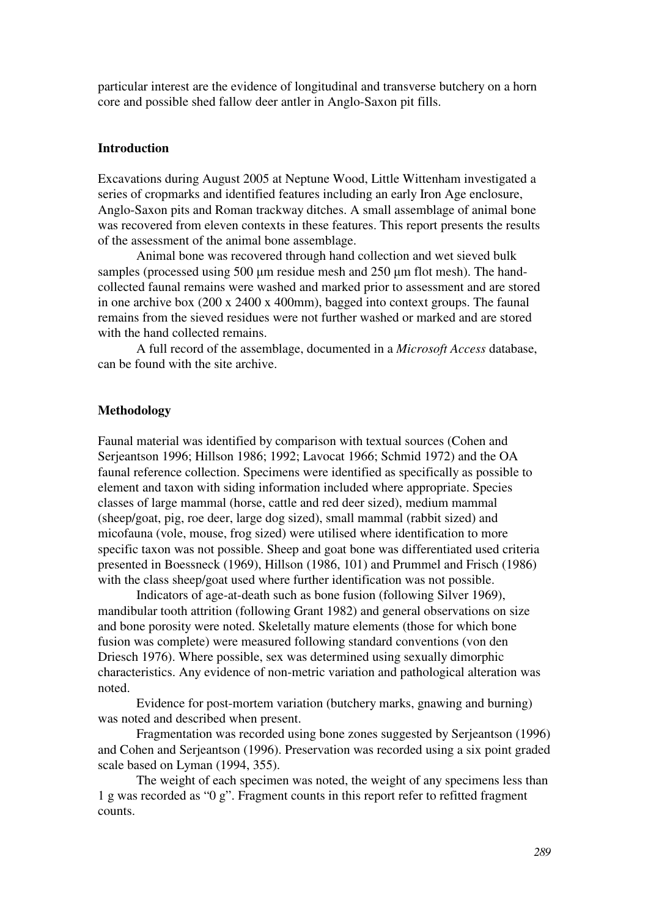particular interest are the evidence of longitudinal and transverse butchery on a horn core and possible shed fallow deer antler in Anglo-Saxon pit fills.

### **Introduction**

Excavations during August 2005 at Neptune Wood, Little Wittenham investigated a series of cropmarks and identified features including an early Iron Age enclosure, Anglo-Saxon pits and Roman trackway ditches. A small assemblage of animal bone was recovered from eleven contexts in these features. This report presents the results of the assessment of the animal bone assemblage.

 Animal bone was recovered through hand collection and wet sieved bulk samples (processed using 500 μm residue mesh and 250 μm flot mesh). The handcollected faunal remains were washed and marked prior to assessment and are stored in one archive box (200 x 2400 x 400mm), bagged into context groups. The faunal remains from the sieved residues were not further washed or marked and are stored with the hand collected remains.

 A full record of the assemblage, documented in a *Microsoft Access* database, can be found with the site archive.

#### **Methodology**

Faunal material was identified by comparison with textual sources (Cohen and Serjeantson 1996; Hillson 1986; 1992; Lavocat 1966; Schmid 1972) and the OA faunal reference collection. Specimens were identified as specifically as possible to element and taxon with siding information included where appropriate. Species classes of large mammal (horse, cattle and red deer sized), medium mammal (sheep/goat, pig, roe deer, large dog sized), small mammal (rabbit sized) and micofauna (vole, mouse, frog sized) were utilised where identification to more specific taxon was not possible. Sheep and goat bone was differentiated used criteria presented in Boessneck (1969), Hillson (1986, 101) and Prummel and Frisch (1986) with the class sheep/goat used where further identification was not possible.

 Indicators of age-at-death such as bone fusion (following Silver 1969), mandibular tooth attrition (following Grant 1982) and general observations on size and bone porosity were noted. Skeletally mature elements (those for which bone fusion was complete) were measured following standard conventions (von den Driesch 1976). Where possible, sex was determined using sexually dimorphic characteristics. Any evidence of non-metric variation and pathological alteration was noted.

 Evidence for post-mortem variation (butchery marks, gnawing and burning) was noted and described when present.

 Fragmentation was recorded using bone zones suggested by Serjeantson (1996) and Cohen and Serjeantson (1996). Preservation was recorded using a six point graded scale based on Lyman (1994, 355).

 The weight of each specimen was noted, the weight of any specimens less than 1 g was recorded as "0 g". Fragment counts in this report refer to refitted fragment counts.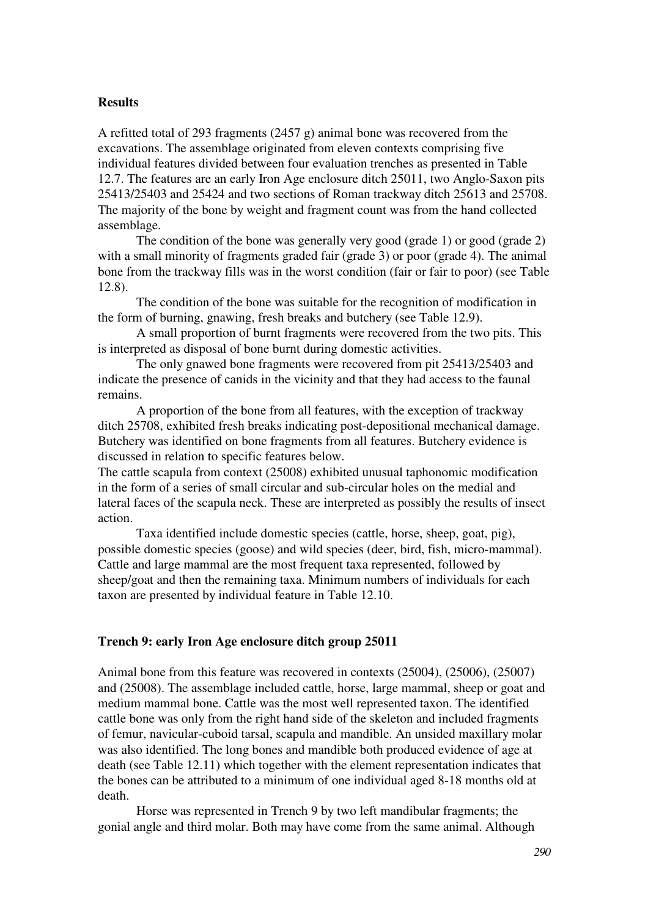### **Results**

A refitted total of 293 fragments (2457 g) animal bone was recovered from the excavations. The assemblage originated from eleven contexts comprising five individual features divided between four evaluation trenches as presented in Table 12.7. The features are an early Iron Age enclosure ditch 25011, two Anglo-Saxon pits 25413/25403 and 25424 and two sections of Roman trackway ditch 25613 and 25708. The majority of the bone by weight and fragment count was from the hand collected assemblage.

 The condition of the bone was generally very good (grade 1) or good (grade 2) with a small minority of fragments graded fair (grade 3) or poor (grade 4). The animal bone from the trackway fills was in the worst condition (fair or fair to poor) (see Table 12.8).

The condition of the bone was suitable for the recognition of modification in the form of burning, gnawing, fresh breaks and butchery (see Table 12.9).

 A small proportion of burnt fragments were recovered from the two pits. This is interpreted as disposal of bone burnt during domestic activities.

 The only gnawed bone fragments were recovered from pit 25413/25403 and indicate the presence of canids in the vicinity and that they had access to the faunal remains.

 A proportion of the bone from all features, with the exception of trackway ditch 25708, exhibited fresh breaks indicating post-depositional mechanical damage. Butchery was identified on bone fragments from all features. Butchery evidence is discussed in relation to specific features below.

The cattle scapula from context (25008) exhibited unusual taphonomic modification in the form of a series of small circular and sub-circular holes on the medial and lateral faces of the scapula neck. These are interpreted as possibly the results of insect action.

 Taxa identified include domestic species (cattle, horse, sheep, goat, pig), possible domestic species (goose) and wild species (deer, bird, fish, micro-mammal). Cattle and large mammal are the most frequent taxa represented, followed by sheep/goat and then the remaining taxa. Minimum numbers of individuals for each taxon are presented by individual feature in Table 12.10.

### **Trench 9: early Iron Age enclosure ditch group 25011**

Animal bone from this feature was recovered in contexts (25004), (25006), (25007) and (25008). The assemblage included cattle, horse, large mammal, sheep or goat and medium mammal bone. Cattle was the most well represented taxon. The identified cattle bone was only from the right hand side of the skeleton and included fragments of femur, navicular-cuboid tarsal, scapula and mandible. An unsided maxillary molar was also identified. The long bones and mandible both produced evidence of age at death (see Table 12.11) which together with the element representation indicates that the bones can be attributed to a minimum of one individual aged 8-18 months old at death.

 Horse was represented in Trench 9 by two left mandibular fragments; the gonial angle and third molar. Both may have come from the same animal. Although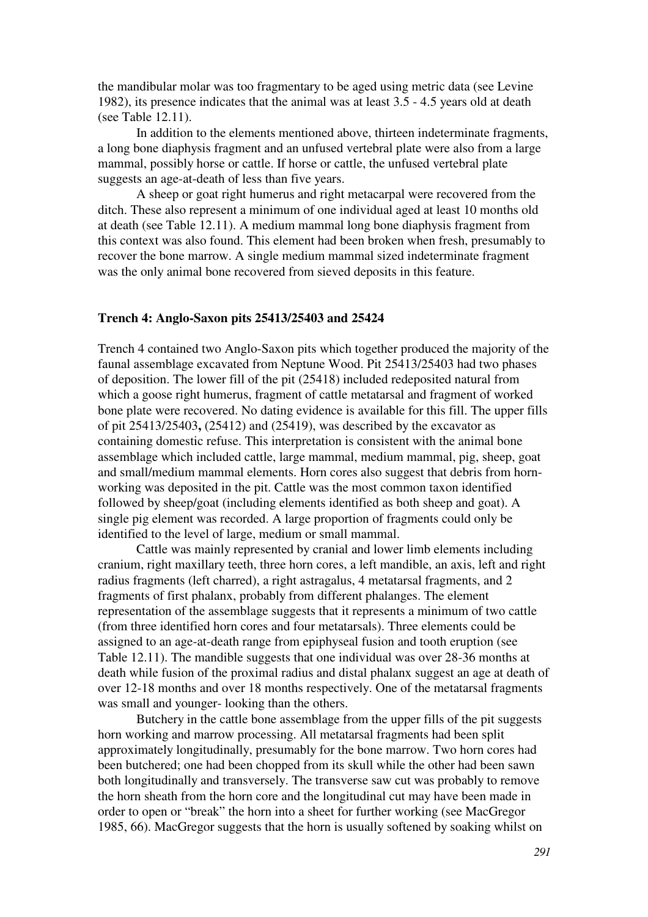the mandibular molar was too fragmentary to be aged using metric data (see Levine 1982), its presence indicates that the animal was at least 3.5 - 4.5 years old at death (see Table 12.11).

 In addition to the elements mentioned above, thirteen indeterminate fragments, a long bone diaphysis fragment and an unfused vertebral plate were also from a large mammal, possibly horse or cattle. If horse or cattle, the unfused vertebral plate suggests an age-at-death of less than five years.

 A sheep or goat right humerus and right metacarpal were recovered from the ditch. These also represent a minimum of one individual aged at least 10 months old at death (see Table 12.11). A medium mammal long bone diaphysis fragment from this context was also found. This element had been broken when fresh, presumably to recover the bone marrow. A single medium mammal sized indeterminate fragment was the only animal bone recovered from sieved deposits in this feature.

#### **Trench 4: Anglo-Saxon pits 25413/25403 and 25424**

Trench 4 contained two Anglo-Saxon pits which together produced the majority of the faunal assemblage excavated from Neptune Wood. Pit 25413/25403 had two phases of deposition. The lower fill of the pit (25418) included redeposited natural from which a goose right humerus, fragment of cattle metatarsal and fragment of worked bone plate were recovered. No dating evidence is available for this fill. The upper fills of pit 25413/25403**,** (25412) and (25419), was described by the excavator as containing domestic refuse. This interpretation is consistent with the animal bone assemblage which included cattle, large mammal, medium mammal, pig, sheep, goat and small/medium mammal elements. Horn cores also suggest that debris from hornworking was deposited in the pit. Cattle was the most common taxon identified followed by sheep/goat (including elements identified as both sheep and goat). A single pig element was recorded. A large proportion of fragments could only be identified to the level of large, medium or small mammal.

 Cattle was mainly represented by cranial and lower limb elements including cranium, right maxillary teeth, three horn cores, a left mandible, an axis, left and right radius fragments (left charred), a right astragalus, 4 metatarsal fragments, and 2 fragments of first phalanx, probably from different phalanges. The element representation of the assemblage suggests that it represents a minimum of two cattle (from three identified horn cores and four metatarsals). Three elements could be assigned to an age-at-death range from epiphyseal fusion and tooth eruption (see Table 12.11). The mandible suggests that one individual was over 28-36 months at death while fusion of the proximal radius and distal phalanx suggest an age at death of over 12-18 months and over 18 months respectively. One of the metatarsal fragments was small and younger- looking than the others.

 Butchery in the cattle bone assemblage from the upper fills of the pit suggests horn working and marrow processing. All metatarsal fragments had been split approximately longitudinally, presumably for the bone marrow. Two horn cores had been butchered; one had been chopped from its skull while the other had been sawn both longitudinally and transversely. The transverse saw cut was probably to remove the horn sheath from the horn core and the longitudinal cut may have been made in order to open or "break" the horn into a sheet for further working (see MacGregor 1985, 66). MacGregor suggests that the horn is usually softened by soaking whilst on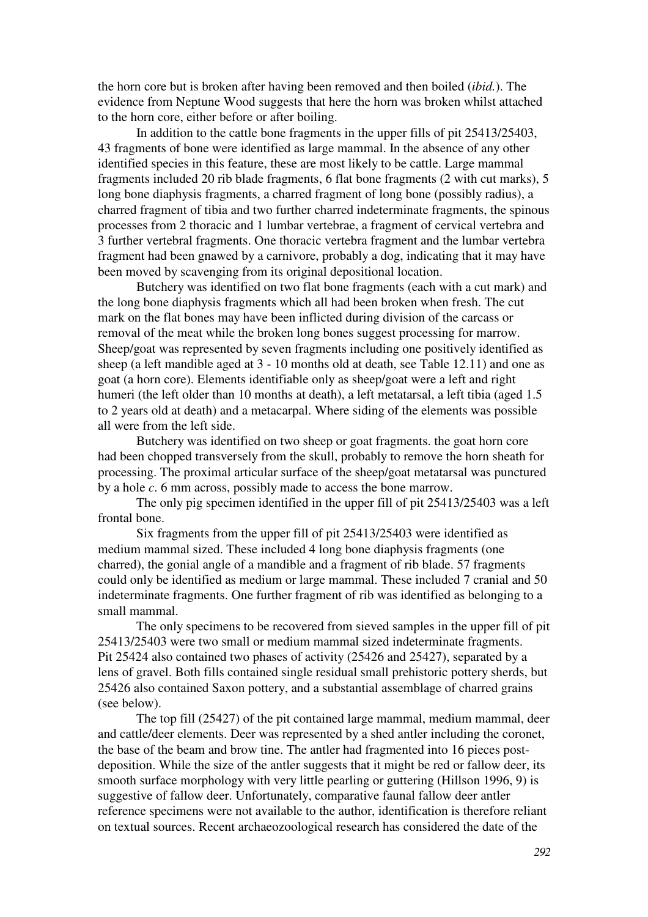the horn core but is broken after having been removed and then boiled (*ibid.*). The evidence from Neptune Wood suggests that here the horn was broken whilst attached to the horn core, either before or after boiling.

 In addition to the cattle bone fragments in the upper fills of pit 25413/25403, 43 fragments of bone were identified as large mammal. In the absence of any other identified species in this feature, these are most likely to be cattle. Large mammal fragments included 20 rib blade fragments, 6 flat bone fragments (2 with cut marks), 5 long bone diaphysis fragments, a charred fragment of long bone (possibly radius), a charred fragment of tibia and two further charred indeterminate fragments, the spinous processes from 2 thoracic and 1 lumbar vertebrae, a fragment of cervical vertebra and 3 further vertebral fragments. One thoracic vertebra fragment and the lumbar vertebra fragment had been gnawed by a carnivore, probably a dog, indicating that it may have been moved by scavenging from its original depositional location.

 Butchery was identified on two flat bone fragments (each with a cut mark) and the long bone diaphysis fragments which all had been broken when fresh. The cut mark on the flat bones may have been inflicted during division of the carcass or removal of the meat while the broken long bones suggest processing for marrow. Sheep/goat was represented by seven fragments including one positively identified as sheep (a left mandible aged at 3 - 10 months old at death, see Table 12.11) and one as goat (a horn core). Elements identifiable only as sheep/goat were a left and right humeri (the left older than 10 months at death), a left metatarsal, a left tibia (aged 1.5 to 2 years old at death) and a metacarpal. Where siding of the elements was possible all were from the left side.

 Butchery was identified on two sheep or goat fragments. the goat horn core had been chopped transversely from the skull, probably to remove the horn sheath for processing. The proximal articular surface of the sheep/goat metatarsal was punctured by a hole *c*. 6 mm across, possibly made to access the bone marrow.

 The only pig specimen identified in the upper fill of pit 25413/25403 was a left frontal bone.

 Six fragments from the upper fill of pit 25413/25403 were identified as medium mammal sized. These included 4 long bone diaphysis fragments (one charred), the gonial angle of a mandible and a fragment of rib blade. 57 fragments could only be identified as medium or large mammal. These included 7 cranial and 50 indeterminate fragments. One further fragment of rib was identified as belonging to a small mammal.

 The only specimens to be recovered from sieved samples in the upper fill of pit 25413/25403 were two small or medium mammal sized indeterminate fragments. Pit 25424 also contained two phases of activity (25426 and 25427), separated by a lens of gravel. Both fills contained single residual small prehistoric pottery sherds, but 25426 also contained Saxon pottery, and a substantial assemblage of charred grains (see below).

 The top fill (25427) of the pit contained large mammal, medium mammal, deer and cattle/deer elements. Deer was represented by a shed antler including the coronet, the base of the beam and brow tine. The antler had fragmented into 16 pieces postdeposition. While the size of the antler suggests that it might be red or fallow deer, its smooth surface morphology with very little pearling or guttering (Hillson 1996, 9) is suggestive of fallow deer. Unfortunately, comparative faunal fallow deer antler reference specimens were not available to the author, identification is therefore reliant on textual sources. Recent archaeozoological research has considered the date of the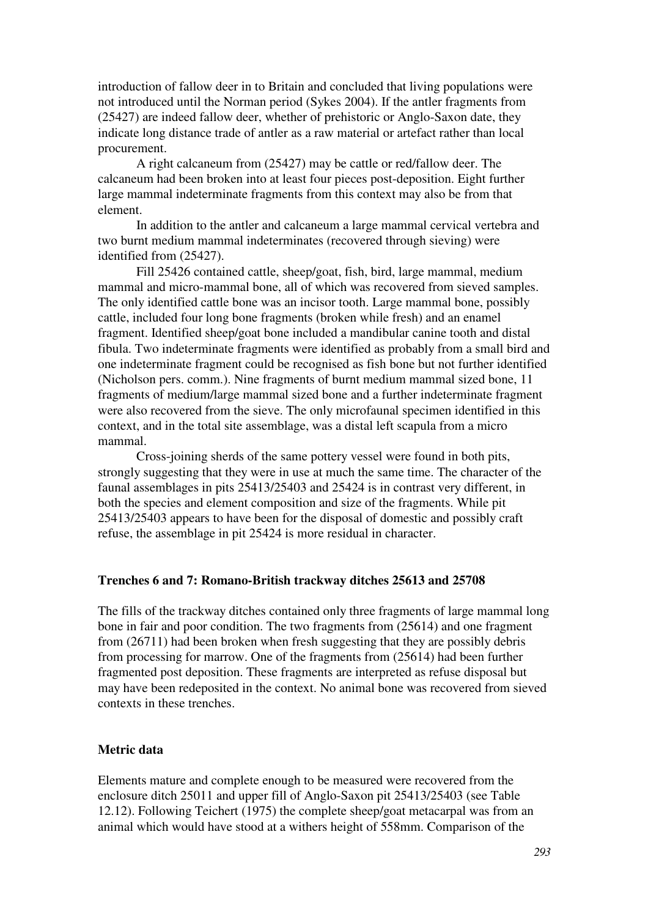introduction of fallow deer in to Britain and concluded that living populations were not introduced until the Norman period (Sykes 2004). If the antler fragments from (25427) are indeed fallow deer, whether of prehistoric or Anglo-Saxon date, they indicate long distance trade of antler as a raw material or artefact rather than local procurement.

 A right calcaneum from (25427) may be cattle or red/fallow deer. The calcaneum had been broken into at least four pieces post-deposition. Eight further large mammal indeterminate fragments from this context may also be from that element.

 In addition to the antler and calcaneum a large mammal cervical vertebra and two burnt medium mammal indeterminates (recovered through sieving) were identified from (25427).

 Fill 25426 contained cattle, sheep/goat, fish, bird, large mammal, medium mammal and micro-mammal bone, all of which was recovered from sieved samples. The only identified cattle bone was an incisor tooth. Large mammal bone, possibly cattle, included four long bone fragments (broken while fresh) and an enamel fragment. Identified sheep/goat bone included a mandibular canine tooth and distal fibula. Two indeterminate fragments were identified as probably from a small bird and one indeterminate fragment could be recognised as fish bone but not further identified (Nicholson pers. comm.). Nine fragments of burnt medium mammal sized bone, 11 fragments of medium/large mammal sized bone and a further indeterminate fragment were also recovered from the sieve. The only microfaunal specimen identified in this context, and in the total site assemblage, was a distal left scapula from a micro mammal.

 Cross-joining sherds of the same pottery vessel were found in both pits, strongly suggesting that they were in use at much the same time. The character of the faunal assemblages in pits 25413/25403 and 25424 is in contrast very different, in both the species and element composition and size of the fragments. While pit 25413/25403 appears to have been for the disposal of domestic and possibly craft refuse, the assemblage in pit 25424 is more residual in character.

### **Trenches 6 and 7: Romano-British trackway ditches 25613 and 25708**

The fills of the trackway ditches contained only three fragments of large mammal long bone in fair and poor condition. The two fragments from (25614) and one fragment from (26711) had been broken when fresh suggesting that they are possibly debris from processing for marrow. One of the fragments from (25614) had been further fragmented post deposition. These fragments are interpreted as refuse disposal but may have been redeposited in the context. No animal bone was recovered from sieved contexts in these trenches.

### **Metric data**

Elements mature and complete enough to be measured were recovered from the enclosure ditch 25011 and upper fill of Anglo-Saxon pit 25413/25403 (see Table 12.12). Following Teichert (1975) the complete sheep/goat metacarpal was from an animal which would have stood at a withers height of 558mm. Comparison of the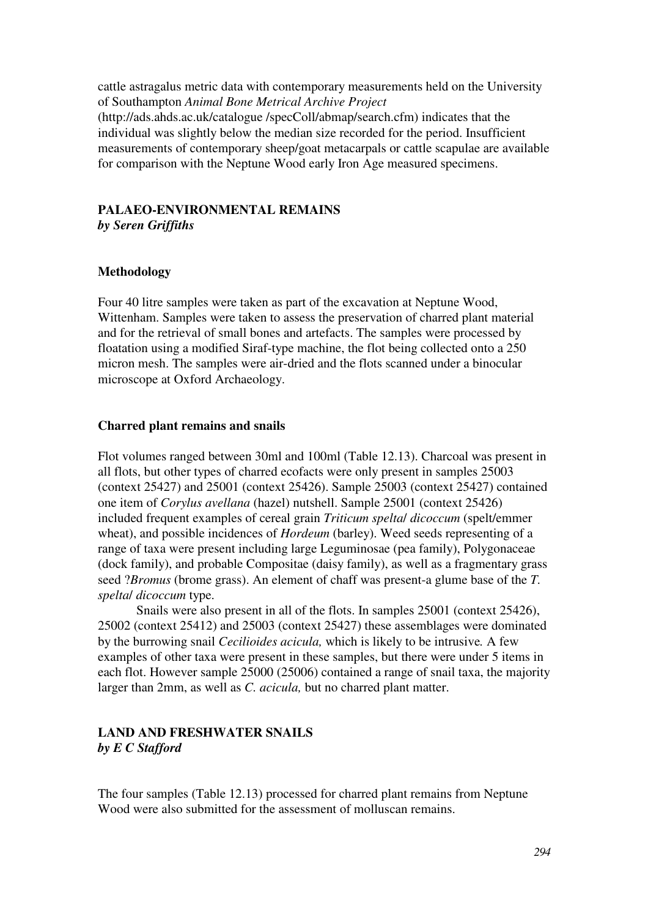cattle astragalus metric data with contemporary measurements held on the University of Southampton *Animal Bone Metrical Archive Project* (http://ads.ahds.ac.uk/catalogue /specColl/abmap/search.cfm) indicates that the individual was slightly below the median size recorded for the period. Insufficient measurements of contemporary sheep/goat metacarpals or cattle scapulae are available for comparison with the Neptune Wood early Iron Age measured specimens.

## **PALAEO-ENVIRONMENTAL REMAINS**  *by Seren Griffiths*

### **Methodology**

Four 40 litre samples were taken as part of the excavation at Neptune Wood, Wittenham. Samples were taken to assess the preservation of charred plant material and for the retrieval of small bones and artefacts. The samples were processed by floatation using a modified Siraf-type machine, the flot being collected onto a 250 micron mesh. The samples were air-dried and the flots scanned under a binocular microscope at Oxford Archaeology.

### **Charred plant remains and snails**

Flot volumes ranged between 30ml and 100ml (Table 12.13). Charcoal was present in all flots, but other types of charred ecofacts were only present in samples 25003 (context 25427) and 25001 (context 25426). Sample 25003 (context 25427) contained one item of *Corylus avellana* (hazel) nutshell. Sample 25001 (context 25426) included frequent examples of cereal grain *Triticum spelta*/ *dicoccum* (spelt/emmer wheat), and possible incidences of *Hordeum* (barley). Weed seeds representing of a range of taxa were present including large Leguminosae (pea family), Polygonaceae (dock family), and probable Compositae (daisy family), as well as a fragmentary grass seed ?*Bromus* (brome grass). An element of chaff was present-a glume base of the *T. spelta*/ *dicoccum* type.

 Snails were also present in all of the flots. In samples 25001 (context 25426), 25002 (context 25412) and 25003 (context 25427) these assemblages were dominated by the burrowing snail *Cecilioides acicula,* which is likely to be intrusive*.* A few examples of other taxa were present in these samples, but there were under 5 items in each flot. However sample 25000 (25006) contained a range of snail taxa, the majority larger than 2mm, as well as *C. acicula,* but no charred plant matter.

## **LAND AND FRESHWATER SNAILS**  *by E C Stafford*

The four samples (Table 12.13) processed for charred plant remains from Neptune Wood were also submitted for the assessment of molluscan remains.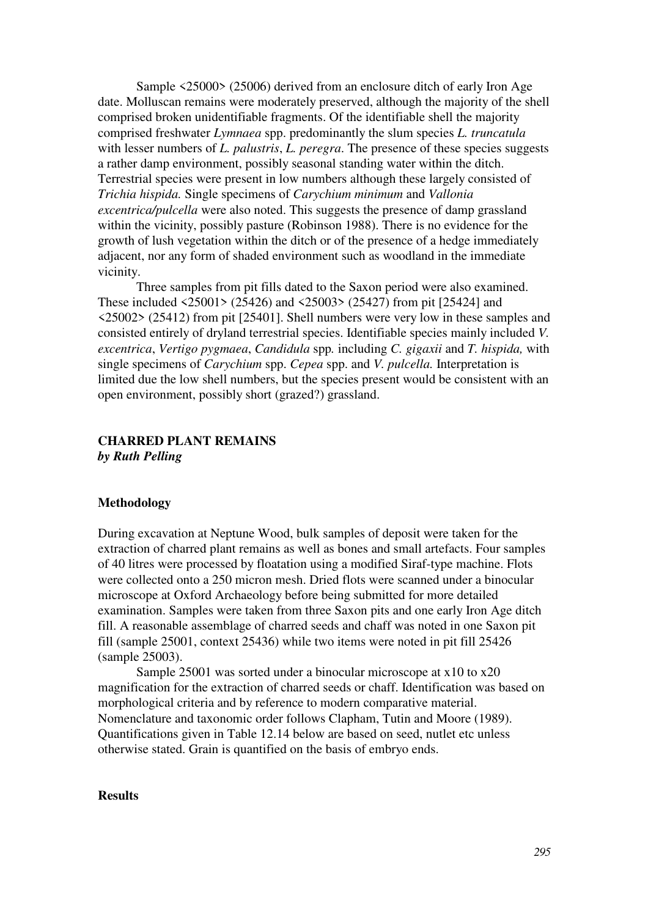Sample <25000> (25006) derived from an enclosure ditch of early Iron Age date. Molluscan remains were moderately preserved, although the majority of the shell comprised broken unidentifiable fragments. Of the identifiable shell the majority comprised freshwater *Lymnaea* spp. predominantly the slum species *L. truncatula* with lesser numbers of *L. palustris*, *L. peregra*. The presence of these species suggests a rather damp environment, possibly seasonal standing water within the ditch. Terrestrial species were present in low numbers although these largely consisted of *Trichia hispida.* Single specimens of *Carychium minimum* and *Vallonia excentrica/pulcella* were also noted. This suggests the presence of damp grassland within the vicinity, possibly pasture (Robinson 1988). There is no evidence for the growth of lush vegetation within the ditch or of the presence of a hedge immediately adjacent, nor any form of shaded environment such as woodland in the immediate vicinity.

 Three samples from pit fills dated to the Saxon period were also examined. These included <25001> (25426) and <25003> (25427) from pit [25424] and <25002> (25412) from pit [25401]. Shell numbers were very low in these samples and consisted entirely of dryland terrestrial species. Identifiable species mainly included *V. excentrica*, *Vertigo pygmaea*, *Candidula* spp*.* including *C. gigaxii* and *T. hispida,* with single specimens of *Carychium* spp. *Cepea* spp. and *V. pulcella.* Interpretation is limited due the low shell numbers, but the species present would be consistent with an open environment, possibly short (grazed?) grassland.

### **CHARRED PLANT REMAINS**  *by Ruth Pelling*

### **Methodology**

During excavation at Neptune Wood, bulk samples of deposit were taken for the extraction of charred plant remains as well as bones and small artefacts. Four samples of 40 litres were processed by floatation using a modified Siraf-type machine. Flots were collected onto a 250 micron mesh. Dried flots were scanned under a binocular microscope at Oxford Archaeology before being submitted for more detailed examination. Samples were taken from three Saxon pits and one early Iron Age ditch fill. A reasonable assemblage of charred seeds and chaff was noted in one Saxon pit fill (sample 25001, context 25436) while two items were noted in pit fill 25426 (sample 25003).

 Sample 25001 was sorted under a binocular microscope at x10 to x20 magnification for the extraction of charred seeds or chaff. Identification was based on morphological criteria and by reference to modern comparative material. Nomenclature and taxonomic order follows Clapham, Tutin and Moore (1989). Quantifications given in Table 12.14 below are based on seed, nutlet etc unless otherwise stated. Grain is quantified on the basis of embryo ends.

### **Results**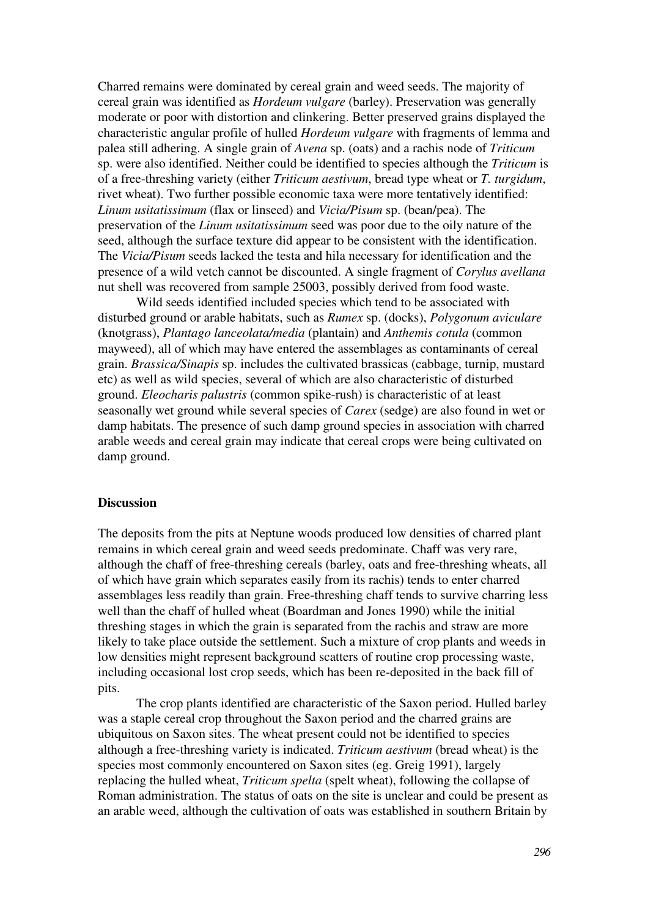Charred remains were dominated by cereal grain and weed seeds. The majority of cereal grain was identified as *Hordeum vulgare* (barley). Preservation was generally moderate or poor with distortion and clinkering. Better preserved grains displayed the characteristic angular profile of hulled *Hordeum vulgare* with fragments of lemma and palea still adhering. A single grain of *Avena* sp. (oats) and a rachis node of *Triticum*  sp. were also identified. Neither could be identified to species although the *Triticum* is of a free-threshing variety (either *Triticum aestivum*, bread type wheat or *T. turgidum*, rivet wheat). Two further possible economic taxa were more tentatively identified: *Linum usitatissimum* (flax or linseed) and *Vicia/Pisum* sp. (bean/pea). The preservation of the *Linum usitatissimum* seed was poor due to the oily nature of the seed, although the surface texture did appear to be consistent with the identification. The *Vicia/Pisum* seeds lacked the testa and hila necessary for identification and the presence of a wild vetch cannot be discounted. A single fragment of *Corylus avellana* nut shell was recovered from sample 25003, possibly derived from food waste.

 Wild seeds identified included species which tend to be associated with disturbed ground or arable habitats, such as *Rumex* sp. (docks), *Polygonum aviculare* (knotgrass), *Plantago lanceolata/media* (plantain) and *Anthemis cotula* (common mayweed), all of which may have entered the assemblages as contaminants of cereal grain. *Brassica/Sinapis* sp. includes the cultivated brassicas (cabbage, turnip, mustard etc) as well as wild species, several of which are also characteristic of disturbed ground. *Eleocharis palustris* (common spike-rush) is characteristic of at least seasonally wet ground while several species of *Carex* (sedge) are also found in wet or damp habitats. The presence of such damp ground species in association with charred arable weeds and cereal grain may indicate that cereal crops were being cultivated on damp ground.

### **Discussion**

The deposits from the pits at Neptune woods produced low densities of charred plant remains in which cereal grain and weed seeds predominate. Chaff was very rare, although the chaff of free-threshing cereals (barley, oats and free-threshing wheats, all of which have grain which separates easily from its rachis) tends to enter charred assemblages less readily than grain. Free-threshing chaff tends to survive charring less well than the chaff of hulled wheat (Boardman and Jones 1990) while the initial threshing stages in which the grain is separated from the rachis and straw are more likely to take place outside the settlement. Such a mixture of crop plants and weeds in low densities might represent background scatters of routine crop processing waste, including occasional lost crop seeds, which has been re-deposited in the back fill of pits.

 The crop plants identified are characteristic of the Saxon period. Hulled barley was a staple cereal crop throughout the Saxon period and the charred grains are ubiquitous on Saxon sites. The wheat present could not be identified to species although a free-threshing variety is indicated. *Triticum aestivum* (bread wheat) is the species most commonly encountered on Saxon sites (eg. Greig 1991), largely replacing the hulled wheat, *Triticum spelta* (spelt wheat), following the collapse of Roman administration. The status of oats on the site is unclear and could be present as an arable weed, although the cultivation of oats was established in southern Britain by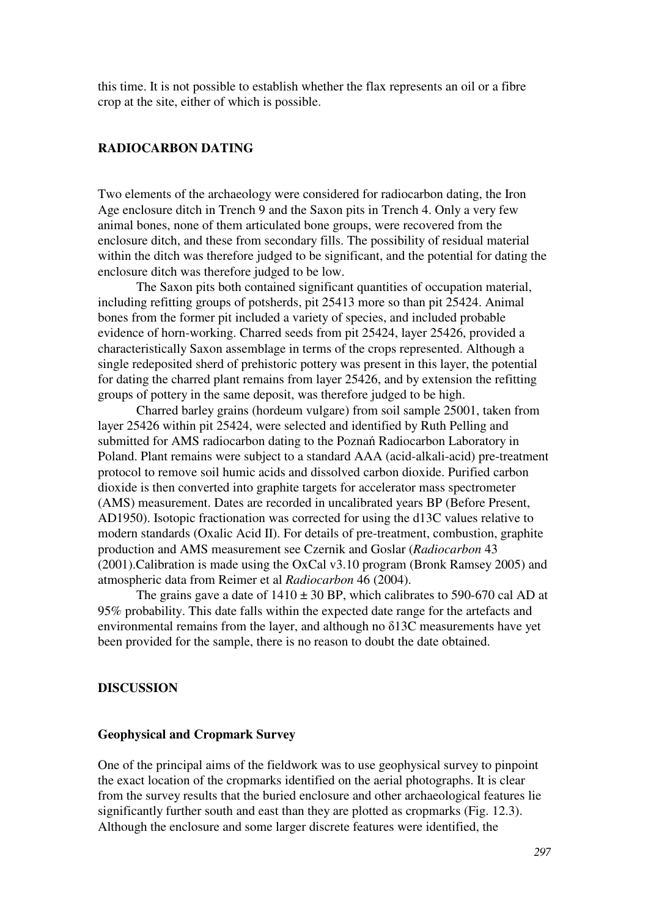this time. It is not possible to establish whether the flax represents an oil or a fibre crop at the site, either of which is possible.

### **RADIOCARBON DATING**

Two elements of the archaeology were considered for radiocarbon dating, the Iron Age enclosure ditch in Trench 9 and the Saxon pits in Trench 4. Only a very few animal bones, none of them articulated bone groups, were recovered from the enclosure ditch, and these from secondary fills. The possibility of residual material within the ditch was therefore judged to be significant, and the potential for dating the enclosure ditch was therefore judged to be low.

 The Saxon pits both contained significant quantities of occupation material, including refitting groups of potsherds, pit 25413 more so than pit 25424. Animal bones from the former pit included a variety of species, and included probable evidence of horn-working. Charred seeds from pit 25424, layer 25426, provided a characteristically Saxon assemblage in terms of the crops represented. Although a single redeposited sherd of prehistoric pottery was present in this layer, the potential for dating the charred plant remains from layer 25426, and by extension the refitting groups of pottery in the same deposit, was therefore judged to be high.

 Charred barley grains (hordeum vulgare) from soil sample 25001, taken from layer 25426 within pit 25424, were selected and identified by Ruth Pelling and submitted for AMS radiocarbon dating to the Poznań Radiocarbon Laboratory in Poland. Plant remains were subject to a standard AAA (acid-alkali-acid) pre-treatment protocol to remove soil humic acids and dissolved carbon dioxide. Purified carbon dioxide is then converted into graphite targets for accelerator mass spectrometer (AMS) measurement. Dates are recorded in uncalibrated years BP (Before Present, AD1950). Isotopic fractionation was corrected for using the d13C values relative to modern standards (Oxalic Acid II). For details of pre-treatment, combustion, graphite production and AMS measurement see Czernik and Goslar (*Radiocarbon* 43 (2001).Calibration is made using the OxCal v3.10 program (Bronk Ramsey 2005) and atmospheric data from Reimer et al *Radiocarbon* 46 (2004).

The grains gave a date of  $1410 \pm 30$  BP, which calibrates to 590-670 cal AD at 95% probability. This date falls within the expected date range for the artefacts and environmental remains from the layer, and although no δ13C measurements have yet been provided for the sample, there is no reason to doubt the date obtained.

#### **DISCUSSION**

### **Geophysical and Cropmark Survey**

One of the principal aims of the fieldwork was to use geophysical survey to pinpoint the exact location of the cropmarks identified on the aerial photographs. It is clear from the survey results that the buried enclosure and other archaeological features lie significantly further south and east than they are plotted as cropmarks (Fig. 12.3). Although the enclosure and some larger discrete features were identified, the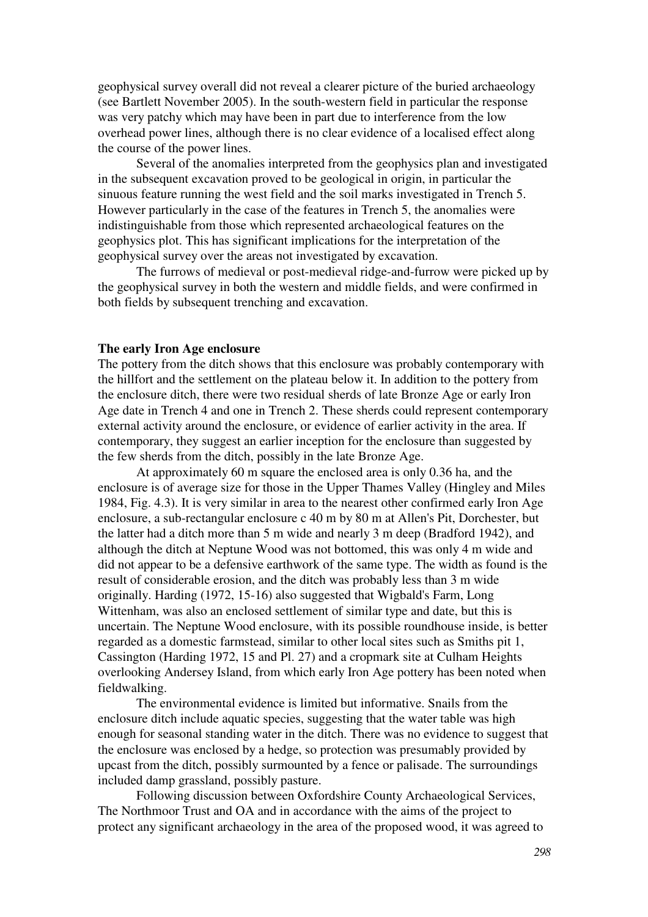geophysical survey overall did not reveal a clearer picture of the buried archaeology (see Bartlett November 2005). In the south-western field in particular the response was very patchy which may have been in part due to interference from the low overhead power lines, although there is no clear evidence of a localised effect along the course of the power lines.

 Several of the anomalies interpreted from the geophysics plan and investigated in the subsequent excavation proved to be geological in origin, in particular the sinuous feature running the west field and the soil marks investigated in Trench 5. However particularly in the case of the features in Trench 5, the anomalies were indistinguishable from those which represented archaeological features on the geophysics plot. This has significant implications for the interpretation of the geophysical survey over the areas not investigated by excavation.

 The furrows of medieval or post-medieval ridge-and-furrow were picked up by the geophysical survey in both the western and middle fields, and were confirmed in both fields by subsequent trenching and excavation.

#### **The early Iron Age enclosure**

The pottery from the ditch shows that this enclosure was probably contemporary with the hillfort and the settlement on the plateau below it. In addition to the pottery from the enclosure ditch, there were two residual sherds of late Bronze Age or early Iron Age date in Trench 4 and one in Trench 2. These sherds could represent contemporary external activity around the enclosure, or evidence of earlier activity in the area. If contemporary, they suggest an earlier inception for the enclosure than suggested by the few sherds from the ditch, possibly in the late Bronze Age.

 At approximately 60 m square the enclosed area is only 0.36 ha, and the enclosure is of average size for those in the Upper Thames Valley (Hingley and Miles 1984, Fig. 4.3). It is very similar in area to the nearest other confirmed early Iron Age enclosure, a sub-rectangular enclosure c 40 m by 80 m at Allen's Pit, Dorchester, but the latter had a ditch more than 5 m wide and nearly 3 m deep (Bradford 1942), and although the ditch at Neptune Wood was not bottomed, this was only 4 m wide and did not appear to be a defensive earthwork of the same type. The width as found is the result of considerable erosion, and the ditch was probably less than 3 m wide originally. Harding (1972, 15-16) also suggested that Wigbald's Farm, Long Wittenham, was also an enclosed settlement of similar type and date, but this is uncertain. The Neptune Wood enclosure, with its possible roundhouse inside, is better regarded as a domestic farmstead, similar to other local sites such as Smiths pit 1, Cassington (Harding 1972, 15 and Pl. 27) and a cropmark site at Culham Heights overlooking Andersey Island, from which early Iron Age pottery has been noted when fieldwalking.

 The environmental evidence is limited but informative. Snails from the enclosure ditch include aquatic species, suggesting that the water table was high enough for seasonal standing water in the ditch. There was no evidence to suggest that the enclosure was enclosed by a hedge, so protection was presumably provided by upcast from the ditch, possibly surmounted by a fence or palisade. The surroundings included damp grassland, possibly pasture.

 Following discussion between Oxfordshire County Archaeological Services, The Northmoor Trust and OA and in accordance with the aims of the project to protect any significant archaeology in the area of the proposed wood, it was agreed to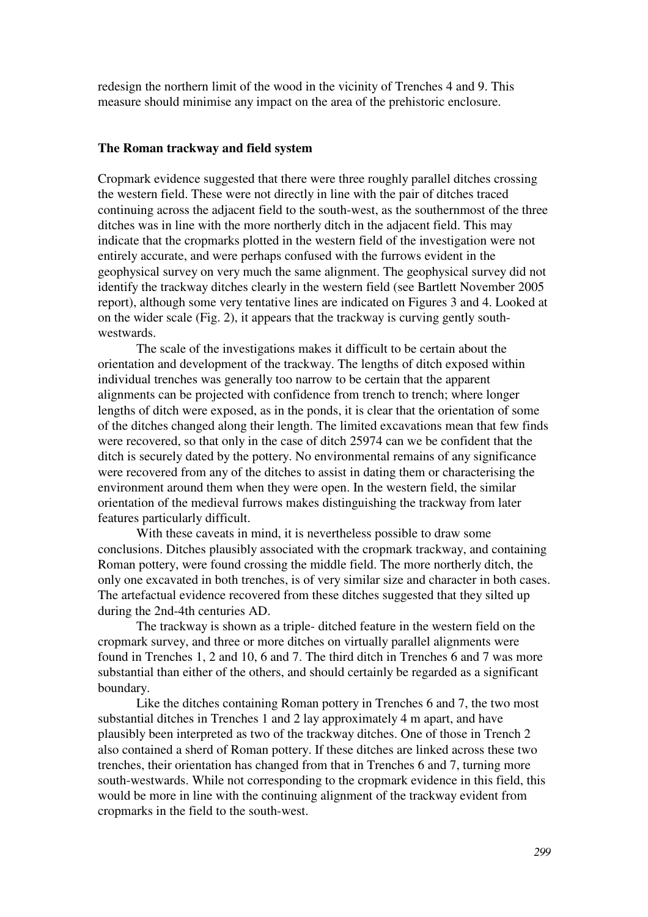redesign the northern limit of the wood in the vicinity of Trenches 4 and 9. This measure should minimise any impact on the area of the prehistoric enclosure.

### **The Roman trackway and field system**

Cropmark evidence suggested that there were three roughly parallel ditches crossing the western field. These were not directly in line with the pair of ditches traced continuing across the adjacent field to the south-west, as the southernmost of the three ditches was in line with the more northerly ditch in the adjacent field. This may indicate that the cropmarks plotted in the western field of the investigation were not entirely accurate, and were perhaps confused with the furrows evident in the geophysical survey on very much the same alignment. The geophysical survey did not identify the trackway ditches clearly in the western field (see Bartlett November 2005 report), although some very tentative lines are indicated on Figures 3 and 4. Looked at on the wider scale (Fig. 2), it appears that the trackway is curving gently southwestwards.

 The scale of the investigations makes it difficult to be certain about the orientation and development of the trackway. The lengths of ditch exposed within individual trenches was generally too narrow to be certain that the apparent alignments can be projected with confidence from trench to trench; where longer lengths of ditch were exposed, as in the ponds, it is clear that the orientation of some of the ditches changed along their length. The limited excavations mean that few finds were recovered, so that only in the case of ditch 25974 can we be confident that the ditch is securely dated by the pottery. No environmental remains of any significance were recovered from any of the ditches to assist in dating them or characterising the environment around them when they were open. In the western field, the similar orientation of the medieval furrows makes distinguishing the trackway from later features particularly difficult.

With these caveats in mind, it is nevertheless possible to draw some conclusions. Ditches plausibly associated with the cropmark trackway, and containing Roman pottery, were found crossing the middle field. The more northerly ditch, the only one excavated in both trenches, is of very similar size and character in both cases. The artefactual evidence recovered from these ditches suggested that they silted up during the 2nd-4th centuries AD.

 The trackway is shown as a triple- ditched feature in the western field on the cropmark survey, and three or more ditches on virtually parallel alignments were found in Trenches 1, 2 and 10, 6 and 7. The third ditch in Trenches 6 and 7 was more substantial than either of the others, and should certainly be regarded as a significant boundary.

 Like the ditches containing Roman pottery in Trenches 6 and 7, the two most substantial ditches in Trenches 1 and 2 lay approximately 4 m apart, and have plausibly been interpreted as two of the trackway ditches. One of those in Trench 2 also contained a sherd of Roman pottery. If these ditches are linked across these two trenches, their orientation has changed from that in Trenches 6 and 7, turning more south-westwards. While not corresponding to the cropmark evidence in this field, this would be more in line with the continuing alignment of the trackway evident from cropmarks in the field to the south-west.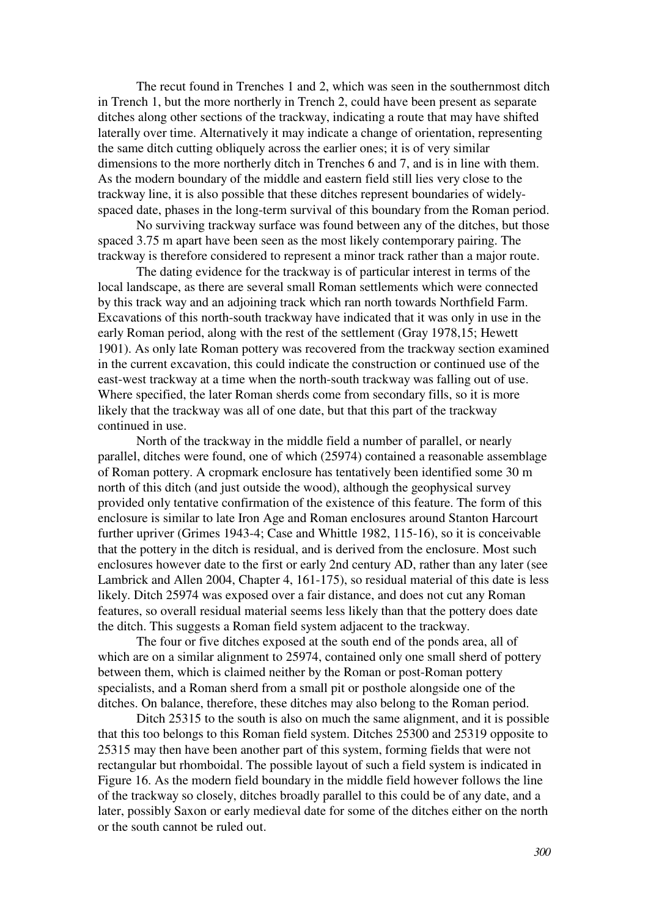The recut found in Trenches 1 and 2, which was seen in the southernmost ditch in Trench 1, but the more northerly in Trench 2, could have been present as separate ditches along other sections of the trackway, indicating a route that may have shifted laterally over time. Alternatively it may indicate a change of orientation, representing the same ditch cutting obliquely across the earlier ones; it is of very similar dimensions to the more northerly ditch in Trenches 6 and 7, and is in line with them. As the modern boundary of the middle and eastern field still lies very close to the trackway line, it is also possible that these ditches represent boundaries of widelyspaced date, phases in the long-term survival of this boundary from the Roman period.

 No surviving trackway surface was found between any of the ditches, but those spaced 3.75 m apart have been seen as the most likely contemporary pairing. The trackway is therefore considered to represent a minor track rather than a major route.

 The dating evidence for the trackway is of particular interest in terms of the local landscape, as there are several small Roman settlements which were connected by this track way and an adjoining track which ran north towards Northfield Farm. Excavations of this north-south trackway have indicated that it was only in use in the early Roman period, along with the rest of the settlement (Gray 1978,15; Hewett 1901). As only late Roman pottery was recovered from the trackway section examined in the current excavation, this could indicate the construction or continued use of the east-west trackway at a time when the north-south trackway was falling out of use. Where specified, the later Roman sherds come from secondary fills, so it is more likely that the trackway was all of one date, but that this part of the trackway continued in use.

 North of the trackway in the middle field a number of parallel, or nearly parallel, ditches were found, one of which (25974) contained a reasonable assemblage of Roman pottery. A cropmark enclosure has tentatively been identified some 30 m north of this ditch (and just outside the wood), although the geophysical survey provided only tentative confirmation of the existence of this feature. The form of this enclosure is similar to late Iron Age and Roman enclosures around Stanton Harcourt further upriver (Grimes 1943-4; Case and Whittle 1982, 115-16), so it is conceivable that the pottery in the ditch is residual, and is derived from the enclosure. Most such enclosures however date to the first or early 2nd century AD, rather than any later (see Lambrick and Allen 2004, Chapter 4, 161-175), so residual material of this date is less likely. Ditch 25974 was exposed over a fair distance, and does not cut any Roman features, so overall residual material seems less likely than that the pottery does date the ditch. This suggests a Roman field system adjacent to the trackway.

 The four or five ditches exposed at the south end of the ponds area, all of which are on a similar alignment to 25974, contained only one small sherd of pottery between them, which is claimed neither by the Roman or post-Roman pottery specialists, and a Roman sherd from a small pit or posthole alongside one of the ditches. On balance, therefore, these ditches may also belong to the Roman period.

Ditch 25315 to the south is also on much the same alignment, and it is possible that this too belongs to this Roman field system. Ditches 25300 and 25319 opposite to 25315 may then have been another part of this system, forming fields that were not rectangular but rhomboidal. The possible layout of such a field system is indicated in Figure 16. As the modern field boundary in the middle field however follows the line of the trackway so closely, ditches broadly parallel to this could be of any date, and a later, possibly Saxon or early medieval date for some of the ditches either on the north or the south cannot be ruled out.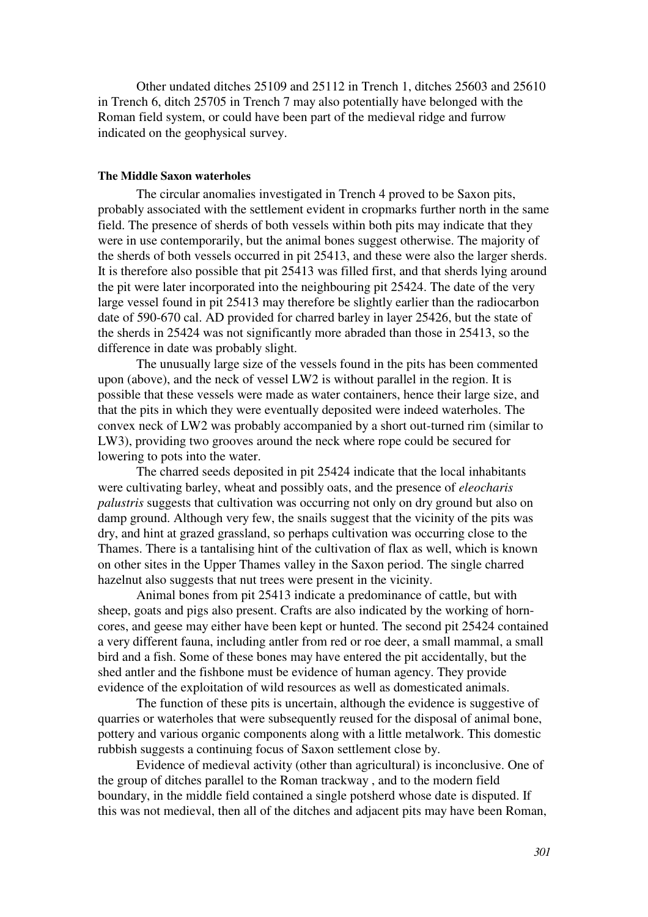Other undated ditches 25109 and 25112 in Trench 1, ditches 25603 and 25610 in Trench 6, ditch 25705 in Trench 7 may also potentially have belonged with the Roman field system, or could have been part of the medieval ridge and furrow indicated on the geophysical survey.

#### **The Middle Saxon waterholes**

 The circular anomalies investigated in Trench 4 proved to be Saxon pits, probably associated with the settlement evident in cropmarks further north in the same field. The presence of sherds of both vessels within both pits may indicate that they were in use contemporarily, but the animal bones suggest otherwise. The majority of the sherds of both vessels occurred in pit 25413, and these were also the larger sherds. It is therefore also possible that pit 25413 was filled first, and that sherds lying around the pit were later incorporated into the neighbouring pit 25424. The date of the very large vessel found in pit 25413 may therefore be slightly earlier than the radiocarbon date of 590-670 cal. AD provided for charred barley in layer 25426, but the state of the sherds in 25424 was not significantly more abraded than those in 25413, so the difference in date was probably slight.

 The unusually large size of the vessels found in the pits has been commented upon (above), and the neck of vessel LW2 is without parallel in the region. It is possible that these vessels were made as water containers, hence their large size, and that the pits in which they were eventually deposited were indeed waterholes. The convex neck of LW2 was probably accompanied by a short out-turned rim (similar to LW3), providing two grooves around the neck where rope could be secured for lowering to pots into the water.

 The charred seeds deposited in pit 25424 indicate that the local inhabitants were cultivating barley, wheat and possibly oats, and the presence of *eleocharis palustris* suggests that cultivation was occurring not only on dry ground but also on damp ground. Although very few, the snails suggest that the vicinity of the pits was dry, and hint at grazed grassland, so perhaps cultivation was occurring close to the Thames. There is a tantalising hint of the cultivation of flax as well, which is known on other sites in the Upper Thames valley in the Saxon period. The single charred hazelnut also suggests that nut trees were present in the vicinity.

 Animal bones from pit 25413 indicate a predominance of cattle, but with sheep, goats and pigs also present. Crafts are also indicated by the working of horncores, and geese may either have been kept or hunted. The second pit 25424 contained a very different fauna, including antler from red or roe deer, a small mammal, a small bird and a fish. Some of these bones may have entered the pit accidentally, but the shed antler and the fishbone must be evidence of human agency. They provide evidence of the exploitation of wild resources as well as domesticated animals.

 The function of these pits is uncertain, although the evidence is suggestive of quarries or waterholes that were subsequently reused for the disposal of animal bone, pottery and various organic components along with a little metalwork. This domestic rubbish suggests a continuing focus of Saxon settlement close by.

 Evidence of medieval activity (other than agricultural) is inconclusive. One of the group of ditches parallel to the Roman trackway , and to the modern field boundary, in the middle field contained a single potsherd whose date is disputed. If this was not medieval, then all of the ditches and adjacent pits may have been Roman,